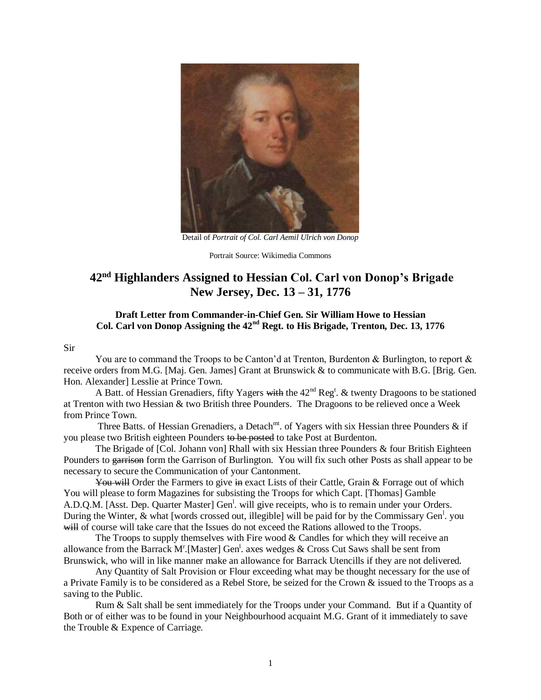

Detail of *Portrait of Col. Carl Aemil Ulrich von Donop*

Portrait Source: Wikimedia Commons

# **42nd Highlanders Assigned to Hessian Col. Carl von Donop's Brigade New Jersey, Dec. 13 – 31, 1776**

## **Draft Letter from Commander-in-Chief Gen. Sir William Howe to Hessian Col. Carl von Donop Assigning the 42nd Regt. to His Brigade, Trenton, Dec. 13, 1776**

#### Sir

You are to command the Troops to be Canton'd at Trenton, Burdenton & Burlington, to report & receive orders from M.G. [Maj. Gen. James] Grant at Brunswick & to communicate with B.G. [Brig. Gen. Hon. Alexander] Lesslie at Prince Town.

A Batt. of Hessian Grenadiers, fifty Yagers with the  $42<sup>nd</sup> Reg<sup>t</sup>$ . & twenty Dragoons to be stationed at Trenton with two Hessian & two British three Pounders. The Dragoons to be relieved once a Week from Prince Town.

Three Batts. of Hessian Grenadiers, a Detach<sup>mt</sup>. of Yagers with six Hessian three Pounders & if you please two British eighteen Pounders to be posted to take Post at Burdenton.

 The Brigade of [Col. Johann von] Rhall with six Hessian three Pounders & four British Eighteen Pounders to garrison form the Garrison of Burlington. You will fix such other Posts as shall appear to be necessary to secure the Communication of your Cantonment.

You will Order the Farmers to give in exact Lists of their Cattle, Grain & Forrage out of which You will please to form Magazines for subsisting the Troops for which Capt. [Thomas] Gamble A.D.Q.M. [Asst. Dep. Quarter Master] Gen<sup>1</sup>. will give receipts, who is to remain under your Orders. During the Winter, & what [words crossed out, illegible] will be paid for by the Commissary Gen<sup>1</sup>. you will of course will take care that the Issues do not exceed the Rations allowed to the Troops.

The Troops to supply themselves with Fire wood  $&$  Candles for which they will receive an allowance from the Barrack M<sup>r</sup>. [Master] Gen<sup>1</sup>. axes wedges & Cross Cut Saws shall be sent from Brunswick, who will in like manner make an allowance for Barrack Utencills if they are not delivered.

 Any Quantity of Salt Provision or Flour exceeding what may be thought necessary for the use of a Private Family is to be considered as a Rebel Store, be seized for the Crown & issued to the Troops as a saving to the Public.

 Rum & Salt shall be sent immediately for the Troops under your Command. But if a Quantity of Both or of either was to be found in your Neighbourhood acquaint M.G. Grant of it immediately to save the Trouble & Expence of Carriage.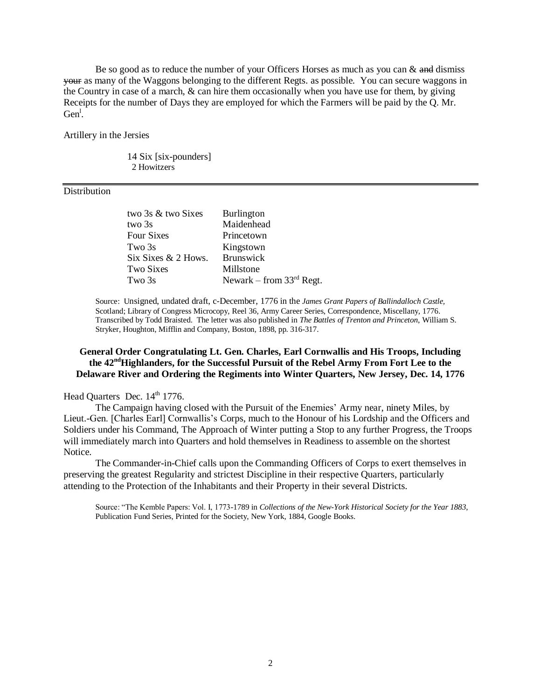Be so good as to reduce the number of your Officers Horses as much as you can  $\&$  and dismiss your as many of the Waggons belonging to the different Regts. as possible. You can secure waggons in the Country in case of a march, & can hire them occasionally when you have use for them, by giving Receipts for the number of Days they are employed for which the Farmers will be paid by the Q. Mr.  $Gen<sup>1</sup>$ .

Artillery in the Jersies

14 Six [six-pounders] 2 Howitzers

#### Distribution

| two 3s & two Sixes  | <b>Burlington</b>          |
|---------------------|----------------------------|
| two 3s              | Maidenhead                 |
| Four Sixes          | Princetown                 |
| Two 3s              | Kingstown                  |
| Six Sixes & 2 Hows. | <b>Brunswick</b>           |
| Two Sixes           | Millstone                  |
| Two 3s              | Newark – from $33rd$ Regt. |

Source: Unsigned, undated draft, c-December, 1776 in the *James Grant Papers of Ballindalloch Castle,* Scotland; Library of Congress Microcopy, Reel 36, Army Career Series, Correspondence, Miscellany, 1776. Transcribed by Todd Braisted. The letter was also published in *The Battles of Trenton and Princeton*, William S. Stryker, Houghton, Mifflin and Company, Boston, 1898, pp. 316-317.

#### **General Order Congratulating Lt. Gen. Charles, Earl Cornwallis and His Troops, Including the 42ndHighlanders, for the Successful Pursuit of the Rebel Army From Fort Lee to the Delaware River and Ordering the Regiments into Winter Quarters, New Jersey, Dec. 14, 1776**

# Head Quarters Dec. 14<sup>th</sup> 1776.

The Campaign having closed with the Pursuit of the Enemies' Army near, ninety Miles, by Lieut.-Gen. [Charles Earl] Cornwallis's Corps, much to the Honour of his Lordship and the Officers and Soldiers under his Command, The Approach of Winter putting a Stop to any further Progress, the Troops will immediately march into Quarters and hold themselves in Readiness to assemble on the shortest Notice.

The Commander-in-Chief calls upon the Commanding Officers of Corps to exert themselves in preserving the greatest Regularity and strictest Discipline in their respective Quarters, particularly attending to the Protection of the Inhabitants and their Property in their several Districts.

Source: "The Kemble Papers: Vol. I, 1773-1789 in *Collections of the New-York Historical Society for the Year 1883*, Publication Fund Series, Printed for the Society, New York, 1884, Google Books.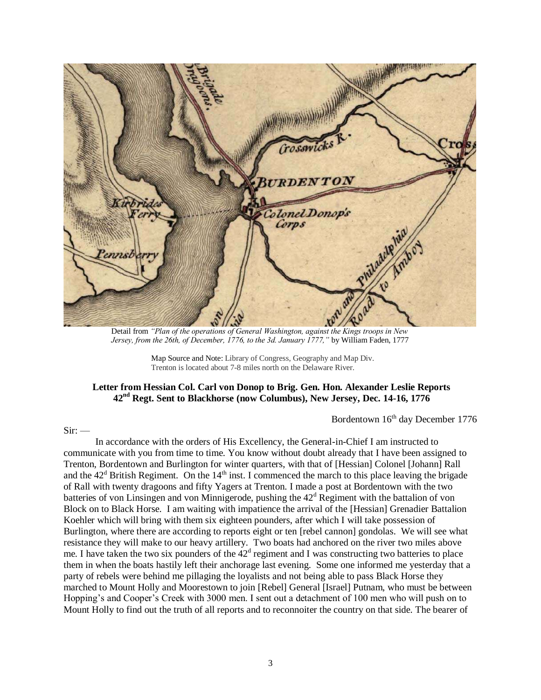

Detail from *"Plan of the operations of General Washington, against the Kings troops in New Jersey, from the 26th, of December, 1776, to the 3d. January 1777,"* by William Faden, 1777

Map Source and Note: Library of Congress, Geography and Map Div. Trenton is located about 7-8 miles north on the Delaware River.

# **Letter from Hessian Col. Carl von Donop to Brig. Gen. Hon. Alexander Leslie Reports 42nd Regt. Sent to Blackhorse (now Columbus), New Jersey, Dec. 14-16, 1776**

Bordentown  $16<sup>th</sup>$  day December 1776

#### $Sir:$   $-$

In accordance with the orders of His Excellency, the General-in-Chief I am instructed to communicate with you from time to time. You know without doubt already that I have been assigned to Trenton, Bordentown and Burlington for winter quarters, with that of [Hessian] Colonel [Johann] Rall and the  $42<sup>d</sup>$  British Regiment. On the  $14<sup>th</sup>$  inst. I commenced the march to this place leaving the brigade of Rall with twenty dragoons and fifty Yagers at Trenton. I made a post at Bordentown with the two batteries of von Linsingen and von Minnigerode, pushing the  $42<sup>d</sup>$  Regiment with the battalion of von Block on to Black Horse. I am waiting with impatience the arrival of the [Hessian] Grenadier Battalion Koehler which will bring with them six eighteen pounders, after which I will take possession of Burlington, where there are according to reports eight or ten [rebel cannon] gondolas. We will see what resistance they will make to our heavy artillery. Two boats had anchored on the river two miles above me. I have taken the two six pounders of the  $42<sup>d</sup>$  regiment and I was constructing two batteries to place them in when the boats hastily left their anchorage last evening. Some one informed me yesterday that a party of rebels were behind me pillaging the loyalists and not being able to pass Black Horse they marched to Mount Holly and Moorestown to join [Rebel] General [Israel] Putnam, who must be between Hopping's and Cooper's Creek with 3000 men. I sent out a detachment of 100 men who will push on to Mount Holly to find out the truth of all reports and to reconnoiter the country on that side. The bearer of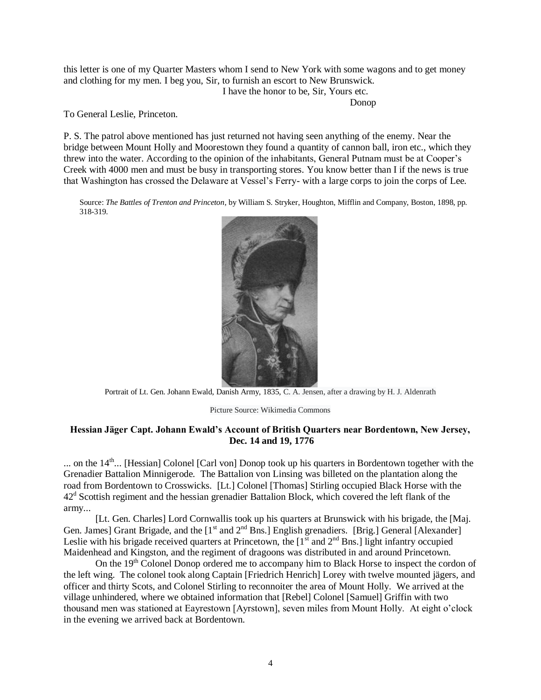this letter is one of my Quarter Masters whom I send to New York with some wagons and to get money and clothing for my men. I beg you, Sir, to furnish an escort to New Brunswick. I have the honor to be, Sir, Yours etc.

Donop

To General Leslie, Princeton.

P. S. The patrol above mentioned has just returned not having seen anything of the enemy. Near the bridge between Mount Holly and Moorestown they found a quantity of cannon ball, iron etc., which they threw into the water. According to the opinion of the inhabitants, General Putnam must be at Cooper's Creek with 4000 men and must be busy in transporting stores. You know better than I if the news is true that Washington has crossed the Delaware at Vessel's Ferry- with a large corps to join the corps of Lee.

Source: *The Battles of Trenton and Princeton*, by William S. Stryker, Houghton, Mifflin and Company, Boston, 1898, pp. 318-319.



Portrait of Lt. Gen. Johann Ewald, Danish Army, 1835, C. A. Jensen, after a drawing by H. J. Aldenrath

Picture Source: Wikimedia Commons

## **Hessian Jäger Capt. Johann Ewald's Account of British Quarters near Bordentown, New Jersey, Dec. 14 and 19, 1776**

... on the  $14<sup>th</sup>$ ... [Hessian] Colonel [Carl von] Donop took up his quarters in Bordentown together with the Grenadier Battalion Minnigerode. The Battalion von Linsing was billeted on the plantation along the road from Bordentown to Crosswicks. [Lt.] Colonel [Thomas] Stirling occupied Black Horse with the  $42<sup>d</sup>$  Scottish regiment and the hessian grenadier Battalion Block, which covered the left flank of the army...

[Lt. Gen. Charles] Lord Cornwallis took up his quarters at Brunswick with his brigade, the [Maj. Gen. James] Grant Brigade, and the  $[1<sup>st</sup>$  and  $2<sup>nd</sup>$  Bns.] English grenadiers. [Brig.] General [Alexander] Leslie with his brigade received quarters at Princetown, the  $[1<sup>st</sup>$  and  $2<sup>nd</sup>$  Bns.] light infantry occupied Maidenhead and Kingston, and the regiment of dragoons was distributed in and around Princetown.

On the  $19<sup>th</sup>$  Colonel Donop ordered me to accompany him to Black Horse to inspect the cordon of the left wing. The colonel took along Captain [Friedrich Henrich] Lorey with twelve mounted jägers, and officer and thirty Scots, and Colonel Stirling to reconnoiter the area of Mount Holly. We arrived at the village unhindered, where we obtained information that [Rebel] Colonel [Samuel] Griffin with two thousand men was stationed at Eayrestown [Ayrstown], seven miles from Mount Holly. At eight o'clock in the evening we arrived back at Bordentown.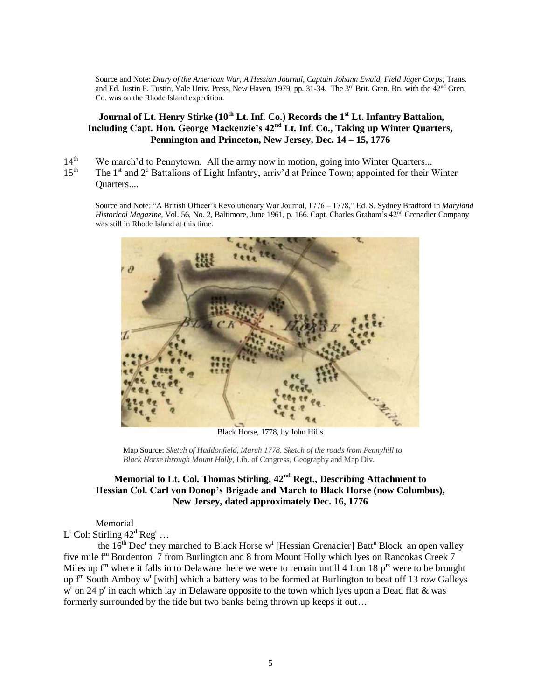Source and Note: *Diary of the American War, A Hessian Journal, Captain Johann Ewald, Field Jäger Corps*, Trans. and Ed. Justin P. Tustin, Yale Univ. Press, New Haven, 1979, pp. 31-34. The 3<sup>rd</sup> Brit. Gren. Bn. with the 42<sup>nd</sup> Gren. Co. was on the Rhode Island expedition.

# **Journal of Lt. Henry Stirke (10th Lt. Inf. Co.) Records the 1st Lt. Infantry Battalion, Including Capt. Hon. George Mackenzie's 42nd Lt. Inf. Co., Taking up Winter Quarters, Pennington and Princeton, New Jersey, Dec. 14 – 15, 1776**

- 14<sup>th</sup> We march'd to Pennytown. All the army now in motion, going into Winter Quarters...
- 15<sup>th</sup> The 1<sup>st</sup> and 2<sup>d</sup> Battalions of Light Infantry, arriv'd at Prince Town; appointed for their Winter Quarters....

Source and Note: "A British Officer's Revolutionary War Journal, 1776 – 1778," Ed. S. Sydney Bradford in *Maryland Historical Magazine*, Vol. 56, No. 2, Baltimore, June 1961, p. 166. Capt. Charles Graham's 42nd Grenadier Company was still in Rhode Island at this time.



Black Horse, 1778, by John Hills

Map Source: *Sketch of Haddonfield, March 1778. Sketch of the roads from Pennyhill to Black Horse through Mount Holly,* Lib. of Congress, Geography and Map Div.

# **Memorial to Lt. Col. Thomas Stirling, 42nd Regt., Describing Attachment to Hessian Col. Carl von Donop's Brigade and March to Black Horse (now Columbus), New Jersey, dated approximately Dec. 16, 1776**

Memorial

 $L^t$  Col: Stirling  $42^d$  Reg<sup>t</sup> ...

the  $16<sup>th</sup>$  Dec<sup>r</sup> they marched to Black Horse w<sup>t</sup> [Hessian Grenadier] Batt<sup>n</sup> Block an open valley five mile f<sup>m</sup> Bordenton 7 from Burlington and 8 from Mount Holly which lyes on Rancokas Creek 7 Miles up  $f<sup>m</sup>$  where it falls in to Delaware here we were to remain untill 4 Iron 18 p<sup>rs</sup> were to be brought up f<sup>m</sup> South Amboy w<sup>t</sup> [with] which a battery was to be formed at Burlington to beat off 13 row Galleys  $w<sup>t</sup>$  on 24 p<sup>r</sup> in each which lay in Delaware opposite to the town which lyes upon a Dead flat & was formerly surrounded by the tide but two banks being thrown up keeps it out…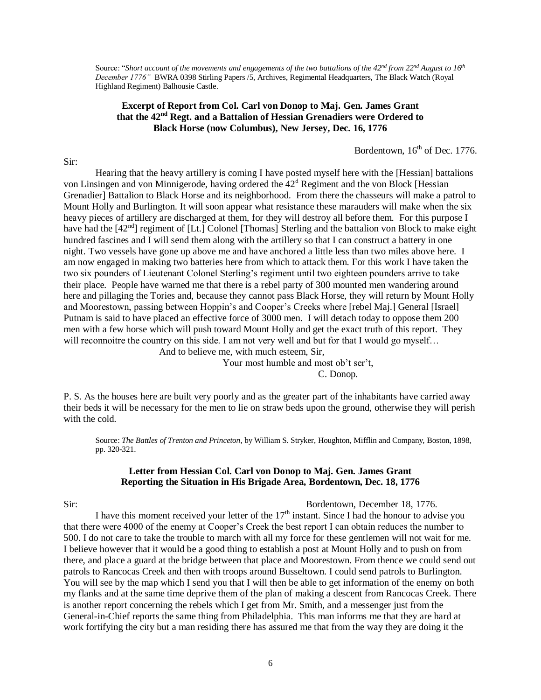Source: "*Short account of the movements and engagements of the two battalions of the 42nd from 22nd August to 16th December 1776"* BWRA 0398 Stirling Papers /5, Archives, Regimental Headquarters, The Black Watch (Royal Highland Regiment) Balhousie Castle.

## **Excerpt of Report from Col. Carl von Donop to Maj. Gen. James Grant that the 42nd Regt. and a Battalion of Hessian Grenadiers were Ordered to Black Horse (now Columbus), New Jersey, Dec. 16, 1776**

Bordentown,  $16<sup>th</sup>$  of Dec. 1776.

Sir:

Hearing that the heavy artillery is coming I have posted myself here with the [Hessian] battalions von Linsingen and von Minnigerode, having ordered the  $42<sup>d</sup>$  Regiment and the von Block [Hessian Grenadier] Battalion to Black Horse and its neighborhood. From there the chasseurs will make a patrol to Mount Holly and Burlington. It will soon appear what resistance these marauders will make when the six heavy pieces of artillery are discharged at them, for they will destroy all before them. For this purpose I have had the [42<sup>nd</sup>] regiment of [Lt.] Colonel [Thomas] Sterling and the battalion von Block to make eight hundred fascines and I will send them along with the artillery so that I can construct a battery in one night. Two vessels have gone up above me and have anchored a little less than two miles above here. I am now engaged in making two batteries here from which to attack them. For this work I have taken the two six pounders of Lieutenant Colonel Sterling's regiment until two eighteen pounders arrive to take their place. People have warned me that there is a rebel party of 300 mounted men wandering around here and pillaging the Tories and, because they cannot pass Black Horse, they will return by Mount Holly and Moorestown, passing between Hoppin's and Cooper's Creeks where [rebel Maj.] General [Israel] Putnam is said to have placed an effective force of 3000 men. I will detach today to oppose them 200 men with a few horse which will push toward Mount Holly and get the exact truth of this report. They will reconnoitre the country on this side. I am not very well and but for that I would go myself... And to believe me, with much esteem, Sir,

> Your most humble and most ob't ser't, C. Donop.

P. S. As the houses here are built very poorly and as the greater part of the inhabitants have carried away their beds it will be necessary for the men to lie on straw beds upon the ground, otherwise they will perish with the cold.

Source: *The Battles of Trenton and Princeton*, by William S. Stryker, Houghton, Mifflin and Company, Boston, 1898, pp. 320-321.

#### **Letter from Hessian Col. Carl von Donop to Maj. Gen. James Grant Reporting the Situation in His Brigade Area, Bordentown, Dec. 18, 1776**

#### Sir: Bordentown, December 18, 1776.

I have this moment received your letter of the  $17<sup>th</sup>$  instant. Since I had the honour to advise you that there were 4000 of the enemy at Cooper's Creek the best report I can obtain reduces the number to 500. I do not care to take the trouble to march with all my force for these gentlemen will not wait for me. I believe however that it would be a good thing to establish a post at Mount Holly and to push on from there, and place a guard at the bridge between that place and Moorestown. From thence we could send out patrols to Rancocas Creek and then with troops around Busseltown. I could send patrols to Burlington. You will see by the map which I send you that I will then be able to get information of the enemy on both my flanks and at the same time deprive them of the plan of making a descent from Rancocas Creek. There is another report concerning the rebels which I get from Mr. Smith, and a messenger just from the General-in-Chief reports the same thing from Philadelphia. This man informs me that they are hard at work fortifying the city but a man residing there has assured me that from the way they are doing it the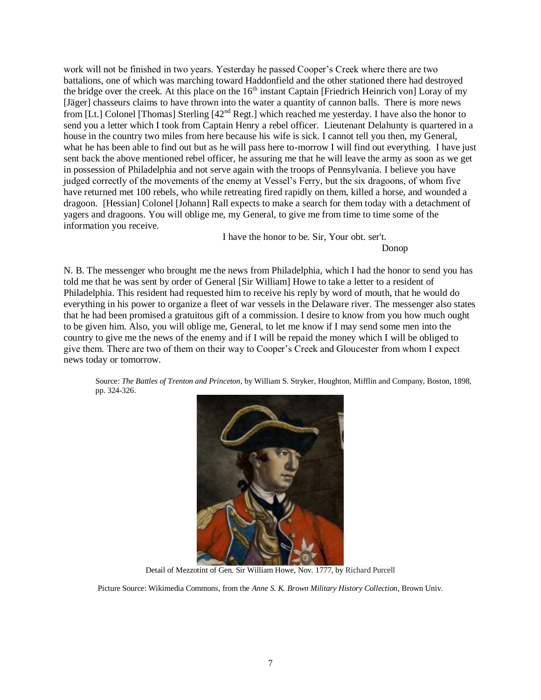work will not be finished in two years. Yesterday he passed Cooper's Creek where there are two battalions, one of which was marching toward Haddonfield and the other stationed there had destroyed the bridge over the creek. At this place on the  $16<sup>th</sup>$  instant Captain [Friedrich Heinrich von] Loray of my [Jäger] chasseurs claims to have thrown into the water a quantity of cannon balls. There is more news from [Lt.] Colonel [Thomas] Sterling [42nd Regt.] which reached me yesterday. I have also the honor to send you a letter which I took from Captain Henry a rebel officer. Lieutenant Delahunty is quartered in a house in the country two miles from here because his wife is sick. I cannot tell you then, my General, what he has been able to find out but as he will pass here to-morrow I will find out everything. I have just sent back the above mentioned rebel officer, he assuring me that he will leave the army as soon as we get in possession of Philadelphia and not serve again with the troops of Pennsylvania. I believe you have judged correctly of the movements of the enemy at Vessel's Ferry, but the six dragoons, of whom five have returned met 100 rebels, who while retreating fired rapidly on them, killed a horse, and wounded a dragoon. [Hessian] Colonel [Johann] Rall expects to make a search for them today with a detachment of yagers and dragoons. You will oblige me, my General, to give me from time to time some of the information you receive.

I have the honor to be. Sir, Your obt. ser't.

Donop

N. B. The messenger who brought me the news from Philadelphia, which I had the honor to send you has told me that he was sent by order of General [Sir William] Howe to take a letter to a resident of Philadelphia. This resident had requested him to receive his reply by word of mouth, that he would do everything in his power to organize a fleet of war vessels in the Delaware river. The messenger also states that he had been promised a gratuitous gift of a commission. I desire to know from you how much ought to be given him. Also, you will oblige me, General, to let me know if I may send some men into the country to give me the news of the enemy and if I will be repaid the money which I will be obliged to give them. There are two of them on their way to Cooper's Creek and Gloucester from whom I expect news today or tomorrow.

Source: *The Battles of Trenton and Princeton*, by William S. Stryker, Houghton, Mifflin and Company, Boston, 1898, pp. 324-326.



Detail of Mezzotint of Gen. Sir William Howe, Nov. 1777, by Richard Purcell

Picture Source: Wikimedia Commons, from the *Anne S. K. Brown Military History Collection*, Brown Univ.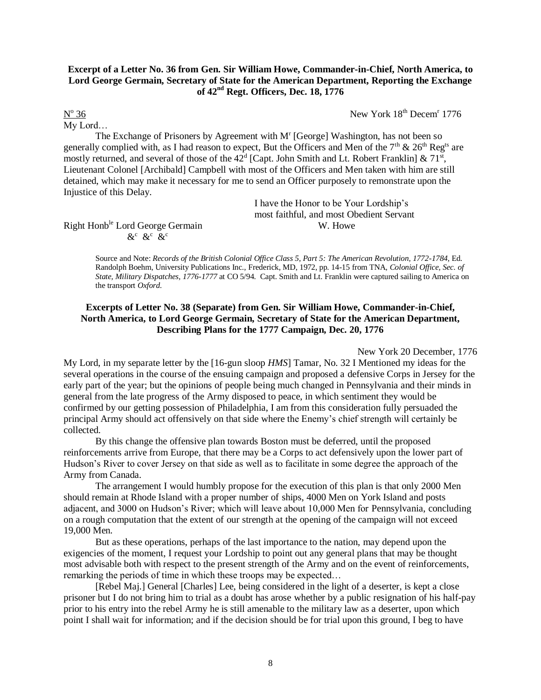# **Excerpt of a Letter No. 36 from Gen. Sir William Howe, Commander-in-Chief, North America, to Lord George Germain, Secretary of State for the American Department, Reporting the Exchange of 42nd Regt. Officers, Dec. 18, 1776**

36 New York 18th Decem<sup>r</sup> 1776

 $\overline{\mathrm{N}^{\mathrm{o}}}$ My Lord…

The Exchange of Prisoners by Agreement with  $M<sup>r</sup>$  [George] Washington, has not been so generally complied with, as I had reason to expect. But the Officers and Men of the  $7<sup>th</sup>$  &  $26<sup>th</sup>$  Reg<sup>ts</sup> are mostly returned, and several of those of the  $42^d$  [Capt. John Smith and Lt. Robert Franklin] &  $71^s$ , Lieutenant Colonel [Archibald] Campbell with most of the Officers and Men taken with him are still detained, which may make it necessary for me to send an Officer purposely to remonstrate upon the Injustice of this Delay.

> I have the Honor to be Your Lordship's most faithful, and most Obedient Servant

Right Honb<sup>le</sup> Lord George Germain W. Howe  $\&c \& c$   $\&c$ 

> Source and Note: *Records of the British Colonial Office Class 5, Part 5: The American Revolution, 1772-1784*, Ed. Randolph Boehm, University Publications Inc., Frederick, MD, 1972, pp. 14-15 from TNA, *Colonial Office, Sec. of State, Military Dispatches, 1776-1777* at CO 5/94. Capt. Smith and Lt. Franklin were captured sailing to America on the transport *Oxford*.

# **Excerpts of Letter No. 38 (Separate) from Gen. Sir William Howe, Commander-in-Chief, North America, to Lord George Germain, Secretary of State for the American Department, Describing Plans for the 1777 Campaign, Dec. 20, 1776**

New York 20 December, 1776 My Lord, in my separate letter by the [16-gun sloop *HMS*] Tamar*,* No. 32 I Mentioned my ideas for the several operations in the course of the ensuing campaign and proposed a defensive Corps in Jersey for the early part of the year; but the opinions of people being much changed in Pennsylvania and their minds in general from the late progress of the Army disposed to peace, in which sentiment they would be confirmed by our getting possession of Philadelphia, I am from this consideration fully persuaded the principal Army should act offensively on that side where the Enemy's chief strength will certainly be

collected.

By this change the offensive plan towards Boston must be deferred, until the proposed reinforcements arrive from Europe, that there may be a Corps to act defensively upon the lower part of Hudson's River to cover Jersey on that side as well as to facilitate in some degree the approach of the Army from Canada.

The arrangement I would humbly propose for the execution of this plan is that only 2000 Men should remain at Rhode Island with a proper number of ships, 4000 Men on York Island and posts adjacent, and 3000 on Hudson's River; which will leave about 10,000 Men for Pennsylvania, concluding on a rough computation that the extent of our strength at the opening of the campaign will not exceed 19,000 Men.

But as these operations, perhaps of the last importance to the nation, may depend upon the exigencies of the moment, I request your Lordship to point out any general plans that may be thought most advisable both with respect to the present strength of the Army and on the event of reinforcements, remarking the periods of time in which these troops may be expected…

[Rebel Maj.] General [Charles] Lee, being considered in the light of a deserter, is kept a close prisoner but I do not bring him to trial as a doubt has arose whether by a public resignation of his half-pay prior to his entry into the rebel Army he is still amenable to the military law as a deserter, upon which point I shall wait for information; and if the decision should be for trial upon this ground, I beg to have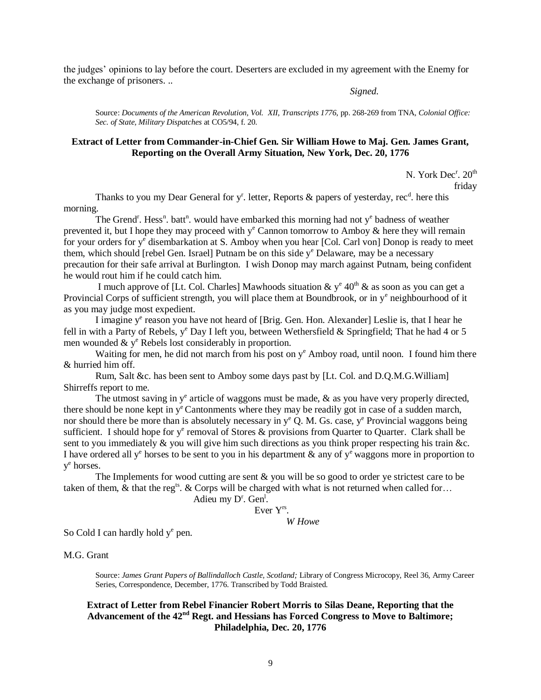the judges' opinions to lay before the court. Deserters are excluded in my agreement with the Enemy for the exchange of prisoners. ..

*Signed.* 

Source: *Documents of the American Revolution, Vol. XII, Transcripts 1776*, pp. 268-269 from TNA, *Colonial Office: Sec. of State, Military Dispatches* at CO5/94, f. 20.

## **Extract of Letter from Commander-in-Chief Gen. Sir William Howe to Maj. Gen. James Grant, Reporting on the Overall Army Situation, New York, Dec. 20, 1776**

N. York Dec<sup>r</sup>. 20<sup>th</sup>

friday

Thanks to you my Dear General for y<sup>r</sup>. letter, Reports & papers of yesterday, rec<sup>d</sup>. here this morning.

The Grend<sup>r</sup>. Hess<sup>n</sup>. batt<sup>n</sup>. would have embarked this morning had not  $y^e$  badness of weather prevented it, but I hope they may proceed with  $y^e$  Cannon tomorrow to Amboy & here they will remain for your orders for y<sup>e</sup> disembarkation at S. Amboy when you hear [Col. Carl von] Donop is ready to meet them, which should [rebel Gen. Israel] Putnam be on this side  $y<sup>e</sup>$  Delaware, may be a necessary precaution for their safe arrival at Burlington. I wish Donop may march against Putnam, being confident he would rout him if he could catch him.

I much approve of [Lt. Col. Charles] Mawhoods situation  $\&$  y<sup>e</sup> 40<sup>th</sup>  $\&$  as soon as you can get a Provincial Corps of sufficient strength, you will place them at Boundbrook, or in y<sup>e</sup> neighbourhood of it as you may judge most expedient.

I imagine y<sup>e</sup> reason you have not heard of [Brig. Gen. Hon. Alexander] Leslie is, that I hear he fell in with a Party of Rebels,  $y^e$  Day I left you, between Wethersfield & Springfield; That he had 4 or 5 men wounded  $& y^e$  Rebels lost considerably in proportion.

Waiting for men, he did not march from his post on  $y<sup>e</sup>$  Amboy road, until noon. I found him there & hurried him off.

 Rum, Salt &c. has been sent to Amboy some days past by [Lt. Col. and D.Q.M.G.William] Shirreffs report to me.

The utmost saving in  $y^e$  article of waggons must be made,  $\&$  as you have very properly directed, there should be none kept in  $y^e$  Cantonments where they may be readily got in case of a sudden march, nor should there be more than is absolutely necessary in  $y^e$  Q. M. Gs. case,  $y^e$  Provincial waggons being sufficient. I should hope for  $y^e$  removal of Stores & provisions from Quarter to Quarter. Clark shall be sent to you immediately & you will give him such directions as you think proper respecting his train &c. I have ordered all y<sup>e</sup> horses to be sent to you in his department  $\&$  any of y<sup>e</sup> waggons more in proportion to y<sup>e</sup> horses.

 The Implements for wood cutting are sent & you will be so good to order ye strictest care to be taken of them,  $\&$  that the reg<sup>ts</sup>.  $\&$  Corps will be charged with what is not returned when called for...

Adieu my D<sup>r</sup>. Gen<sup>1</sup>.

Ever Yrs .

*W Howe*

So Cold I can hardly hold y<sup>e</sup> pen.

M.G. Grant

Source: *James Grant Papers of Ballindalloch Castle, Scotland;* Library of Congress Microcopy, Reel 36, Army Career Series, Correspondence, December, 1776. Transcribed by Todd Braisted.

## **Extract of Letter from Rebel Financier Robert Morris to Silas Deane, Reporting that the Advancement of the 42nd Regt. and Hessians has Forced Congress to Move to Baltimore; Philadelphia, Dec. 20, 1776**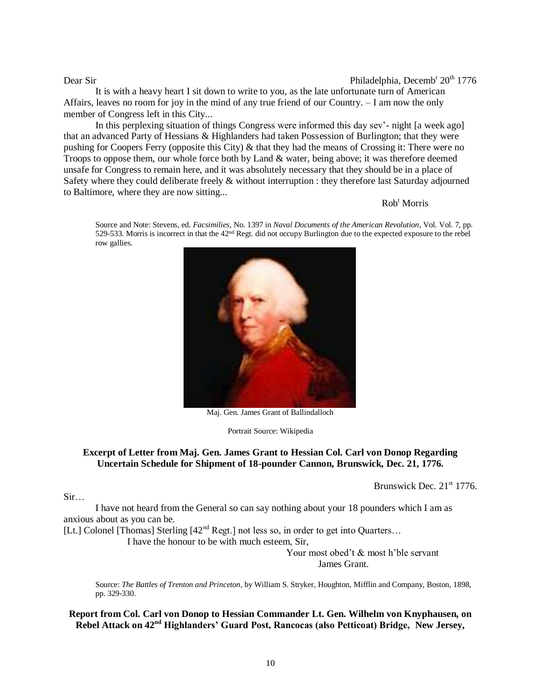## Dear Sir Philadelphia, Decemb<sup>r</sup> 20<sup>th</sup> 1776

It is with a heavy heart I sit down to write to you, as the late unfortunate turn of American Affairs, leaves no room for joy in the mind of any true friend of our Country. – I am now the only member of Congress left in this City...

In this perplexing situation of things Congress were informed this day sev'- night [a week ago] that an advanced Party of Hessians & Highlanders had taken Possession of Burlington; that they were pushing for Coopers Ferry (opposite this City) & that they had the means of Crossing it: There were no Troops to oppose them, our whole force both by Land & water, being above; it was therefore deemed unsafe for Congress to remain here, and it was absolutely necessary that they should be in a place of Safety where they could deliberate freely & without interruption : they therefore last Saturday adjourned to Baltimore, where they are now sitting...

#### $Rob<sup>t</sup> Morris$

Source and Note: Stevens, ed. *Facsimilies*, No. 1397 in *Naval Documents of the American Revolution*, Vol. Vol. 7, pp. 529-533. Morris is incorrect in that the  $42<sup>nd</sup>$  Regt. did not occupy Burlington due to the expected exposure to the rebel row gallies.



Maj. Gen. James Grant of Ballindalloch

Portrait Source: Wikipedia

## **Excerpt of Letter from Maj. Gen. James Grant to Hessian Col. Carl von Donop Regarding Uncertain Schedule for Shipment of 18-pounder Cannon, Brunswick, Dec. 21, 1776.**

Brunswick Dec.  $21<sup>st</sup> 1776$ .

Sir…

I have not heard from the General so can say nothing about your 18 pounders which I am as anxious about as you can be.

[Lt.] Colonel [Thomas] Sterling  $[42<sup>nd</sup>$  Regt.] not less so, in order to get into Quarters...

I have the honour to be with much esteem, Sir,

Your most obed't & most h'ble servant James Grant.

Source: *The Battles of Trenton and Princeton*, by William S. Stryker, Houghton, Mifflin and Company, Boston, 1898, pp. 329-330.

**Report from Col. Carl von Donop to Hessian Commander Lt. Gen. Wilhelm von Knyphausen, on Rebel Attack on 42nd Highlanders' Guard Post, Rancocas (also Petticoat) Bridge, New Jersey,**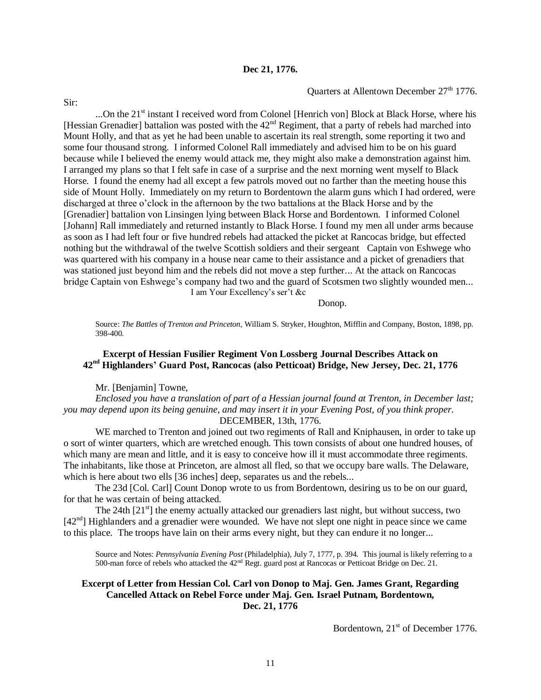#### **Dec 21, 1776.**

Quarters at Allentown December 27<sup>th</sup> 1776.

...On the  $21<sup>st</sup>$  instant I received word from Colonel [Henrich von] Block at Black Horse, where his [Hessian Grenadier] battalion was posted with the  $42<sup>nd</sup>$  Regiment, that a party of rebels had marched into Mount Holly, and that as yet he had been unable to ascertain its real strength, some reporting it two and some four thousand strong. I informed Colonel Rall immediately and advised him to be on his guard because while I believed the enemy would attack me, they might also make a demonstration against him. I arranged my plans so that I felt safe in case of a surprise and the next morning went myself to Black Horse. I found the enemy had all except a few patrols moved out no farther than the meeting house this side of Mount Holly. Immediately on my return to Bordentown the alarm guns which I had ordered, were discharged at three o'clock in the afternoon by the two battalions at the Black Horse and by the [Grenadier] battalion von Linsingen lying between Black Horse and Bordentown. I informed Colonel [Johann] Rall immediately and returned instantly to Black Horse. I found my men all under arms because as soon as I had left four or five hundred rebels had attacked the picket at Rancocas bridge, but effected nothing but the withdrawal of the twelve Scottish soldiers and their sergeant Captain von Eshwege who was quartered with his company in a house near came to their assistance and a picket of grenadiers that was stationed just beyond him and the rebels did not move a step further... At the attack on Rancocas bridge Captain von Eshwege's company had two and the guard of Scotsmen two slightly wounded men... I am Your Excellency's ser't &c

Donop.

Source: *The Battles of Trenton and Princeton*, William S. Stryker, Houghton, Mifflin and Company, Boston, 1898, pp. 398-400.

## **Excerpt of Hessian Fusilier Regiment Von Lossberg Journal Describes Attack on 42nd Highlanders' Guard Post, Rancocas (also Petticoat) Bridge, New Jersey, Dec. 21, 1776**

Mr. [Benjamin] Towne,

*Enclosed you have a translation of part of a Hessian journal found at Trenton, in December last; you may depend upon its being genuine, and may insert it in your Evening Post, of you think proper.* DECEMBER, 13th, 1776.

WE marched to Trenton and joined out two regiments of Rall and Kniphausen, in order to take up o sort of winter quarters, which are wretched enough. This town consists of about one hundred houses, of which many are mean and little, and it is easy to conceive how ill it must accommodate three regiments. The inhabitants, like those at Princeton, are almost all fled, so that we occupy bare walls. The Delaware, which is here about two ells [36 inches] deep, separates us and the rebels...

The 23d [Col. Carl] Count Donop wrote to us from Bordentown, desiring us to be on our guard, for that he was certain of being attacked.

The 24th  $[21<sup>st</sup>]$  the enemy actually attacked our grenadiers last night, but without success, two  $[42<sup>nd</sup>]$  Highlanders and a grenadier were wounded. We have not slept one night in peace since we came to this place. The troops have lain on their arms every night, but they can endure it no longer...

Source and Notes: *Pennsylvania Evening Post* (Philadelphia), July 7, 1777, p. 394. This journal is likely referring to a 500-man force of rebels who attacked the  $42<sup>nd</sup>$  Regt. guard post at Rancocas or Petticoat Bridge on Dec. 21.

#### **Excerpt of Letter from Hessian Col. Carl von Donop to Maj. Gen. James Grant, Regarding Cancelled Attack on Rebel Force under Maj. Gen. Israel Putnam, Bordentown, Dec. 21, 1776**

Bordentown, 21<sup>st</sup> of December 1776.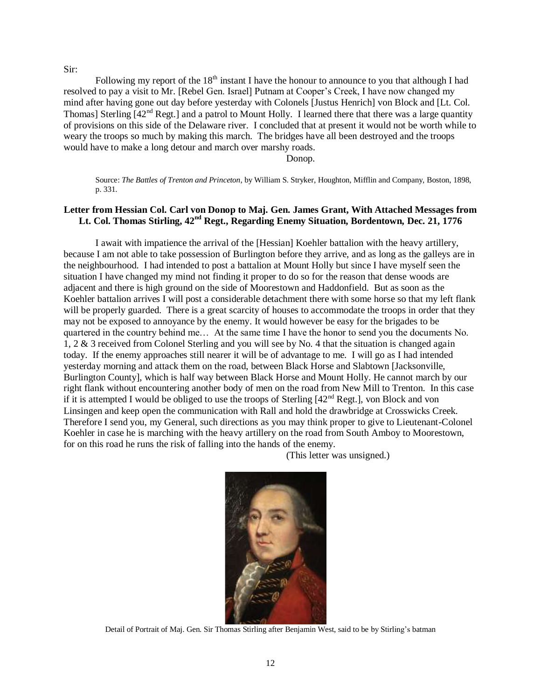#### Sir:

Following my report of the  $18<sup>th</sup>$  instant I have the honour to announce to you that although I had resolved to pay a visit to Mr. [Rebel Gen. Israel] Putnam at Cooper's Creek, I have now changed my mind after having gone out day before yesterday with Colonels [Justus Henrich] von Block and [Lt. Col. Thomas] Sterling  $[42<sup>nd</sup>$  Regt.] and a patrol to Mount Holly. I learned there that there was a large quantity of provisions on this side of the Delaware river. I concluded that at present it would not be worth while to weary the troops so much by making this march. The bridges have all been destroyed and the troops would have to make a long detour and march over marshy roads.

Donop.

Source: *The Battles of Trenton and Princeton*, by William S. Stryker, Houghton, Mifflin and Company, Boston, 1898, p. 331.

# **Letter from Hessian Col. Carl von Donop to Maj. Gen. James Grant, With Attached Messages from Lt. Col. Thomas Stirling, 42nd Regt., Regarding Enemy Situation, Bordentown, Dec. 21, 1776**

I await with impatience the arrival of the [Hessian] Koehler battalion with the heavy artillery, because I am not able to take possession of Burlington before they arrive, and as long as the galleys are in the neighbourhood. I had intended to post a battalion at Mount Holly but since I have myself seen the situation I have changed my mind not finding it proper to do so for the reason that dense woods are adjacent and there is high ground on the side of Moorestown and Haddonfield. But as soon as the Koehler battalion arrives I will post a considerable detachment there with some horse so that my left flank will be properly guarded. There is a great scarcity of houses to accommodate the troops in order that they may not be exposed to annoyance by the enemy. It would however be easy for the brigades to be quartered in the country behind me… At the same time I have the honor to send you the documents No. 1, 2 & 3 received from Colonel Sterling and you will see by No. 4 that the situation is changed again today. If the enemy approaches still nearer it will be of advantage to me. I will go as I had intended yesterday morning and attack them on the road, between Black Horse and Slabtown [Jacksonville, Burlington County], which is half way between Black Horse and Mount Holly. He cannot march by our right flank without encountering another body of men on the road from New Mill to Trenton. In this case if it is attempted I would be obliged to use the troops of Sterling  $[42^{nd}$  Regt.], von Block and von Linsingen and keep open the communication with Rall and hold the drawbridge at Crosswicks Creek. Therefore I send you, my General, such directions as you may think proper to give to Lieutenant-Colonel Koehler in case he is marching with the heavy artillery on the road from South Amboy to Moorestown, for on this road he runs the risk of falling into the hands of the enemy.

(This letter was unsigned.)



Detail of Portrait of Maj. Gen. Sir Thomas Stirling after Benjamin West, said to be by Stirling's batman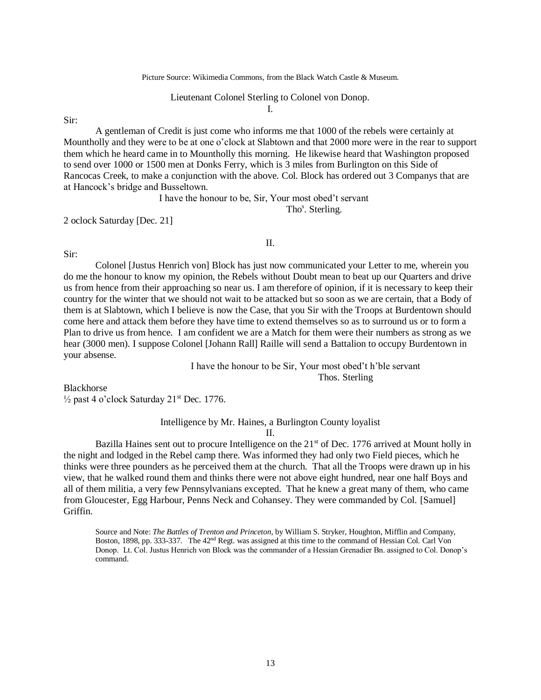# Lieutenant Colonel Sterling to Colonel von Donop.

I.

Sir:

A gentleman of Credit is just come who informs me that 1000 of the rebels were certainly at Mountholly and they were to be at one o'clock at Slabtown and that 2000 more were in the rear to support them which he heard came in to Mountholly this morning. He likewise heard that Washington proposed to send over 1000 or 1500 men at Donks Ferry, which is 3 miles from Burlington on this Side of Rancocas Creek, to make a conjunction with the above. Col. Block has ordered out 3 Companys that are at Hancock's bridge and Busseltown.

I have the honour to be, Sir, Your most obed't servant

Tho<sup>s</sup>. Sterling.

2 oclock Saturday [Dec. 21]

II.

#### Sir:

Colonel [Justus Henrich von] Block has just now communicated your Letter to me, wherein you do me the honour to know my opinion, the Rebels without Doubt mean to beat up our Quarters and drive us from hence from their approaching so near us. I am therefore of opinion, if it is necessary to keep their country for the winter that we should not wait to be attacked but so soon as we are certain, that a Body of them is at Slabtown, which I believe is now the Case, that you Sir with the Troops at Burdentown should come here and attack them before they have time to extend themselves so as to surround us or to form a Plan to drive us from hence. I am confident we are a Match for them were their numbers as strong as we hear (3000 men). I suppose Colonel [Johann Rall] Raille will send a Battalion to occupy Burdentown in your absense.

> I have the honour to be Sir, Your most obed't h'ble servant Thos. Sterling

Blackhorse  $\frac{1}{2}$  past 4 o'clock Saturday 21<sup>st</sup> Dec. 1776.

Intelligence by Mr. Haines, a Burlington County loyalist

II.

Bazilla Haines sent out to procure Intelligence on the  $21<sup>st</sup>$  of Dec. 1776 arrived at Mount holly in the night and lodged in the Rebel camp there. Was informed they had only two Field pieces, which he thinks were three pounders as he perceived them at the church. That all the Troops were drawn up in his view, that he walked round them and thinks there were not above eight hundred, near one half Boys and all of them militia, a very few Pennsylvanians excepted. That he knew a great many of them, who came from Gloucester, Egg Harbour, Penns Neck and Cohansey. They were commanded by Col. [Samuel] Griffin.

Source and Note: *The Battles of Trenton and Princeton*, by William S. Stryker, Houghton, Mifflin and Company, Boston, 1898, pp. 333-337. The 42nd Regt. was assigned at this time to the command of Hessian Col. Carl Von Donop. Lt. Col. Justus Henrich von Block was the commander of a Hessian Grenadier Bn. assigned to Col. Donop's command.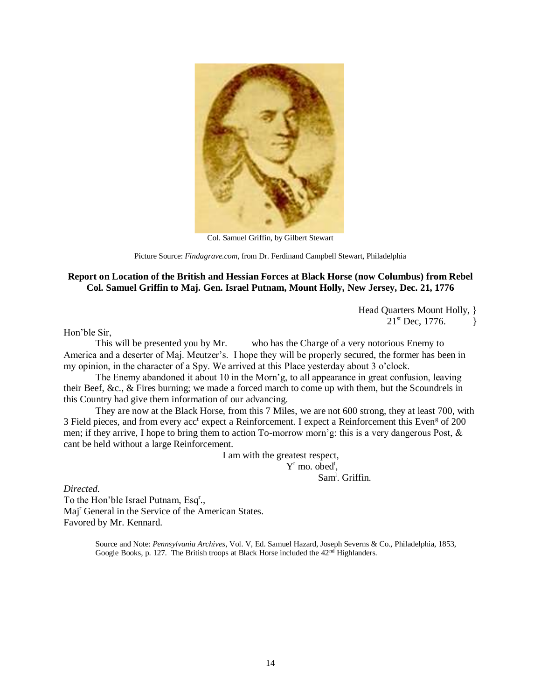

Col. Samuel Griffin, by Gilbert Stewart

Picture Source: *Findagrave.com*, from Dr. Ferdinand Campbell Stewart, Philadelphia

# **Report on Location of the British and Hessian Forces at Black Horse (now Columbus) from Rebel Col. Samuel Griffin to Maj. Gen. Israel Putnam, Mount Holly, New Jersey, Dec. 21, 1776**

Head Quarters Mount Holly, }  $21^{st}$  Dec, 1776.

Hon'ble Sir,

This will be presented you by Mr. who has the Charge of a very notorious Enemy to America and a deserter of Maj. Meutzer's. I hope they will be properly secured, the former has been in my opinion, in the character of a Spy. We arrived at this Place yesterday about 3 o'clock.

The Enemy abandoned it about 10 in the Morn'g, to all appearance in great confusion, leaving their Beef, &c., & Fires burning; we made a forced march to come up with them, but the Scoundrels in this Country had give them information of our advancing.

They are now at the Black Horse, from this 7 Miles, we are not 600 strong, they at least 700, with 3 Field pieces, and from every acc<sup>t</sup> expect a Reinforcement. I expect a Reinforcement this Even<sup>g</sup> of 200 men; if they arrive, I hope to bring them to action To-morrow morn'g: this is a very dangerous Post, & cant be held without a large Reinforcement.

I am with the greatest respect,

 $Y^r$  mo. obed<sup>t</sup>,

Sam<sup>l</sup>. Griffin.

*Directed.* 

To the Hon'ble Israel Putnam, Esq<sup>r</sup>., Maj<sup>r</sup> General in the Service of the American States. Favored by Mr. Kennard.

> Source and Note: *Pennsylvania Archives*, Vol. V, Ed. Samuel Hazard, Joseph Severns & Co., Philadelphia, 1853, Google Books, p. 127. The British troops at Black Horse included the  $42<sup>nd</sup>$  Highlanders.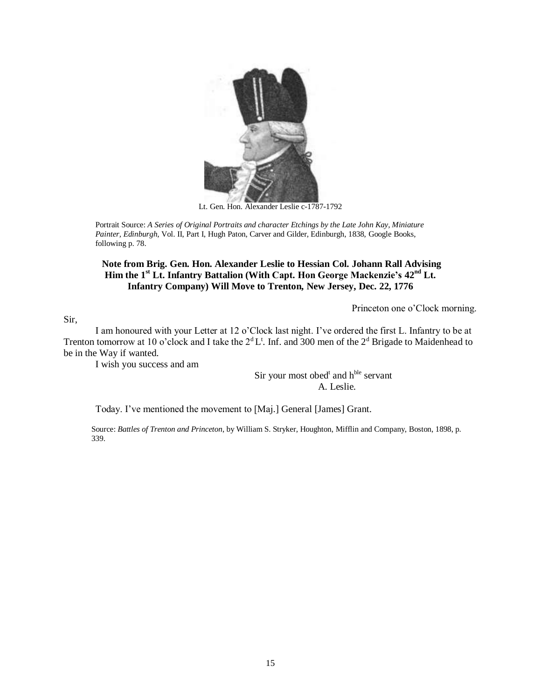

Lt. Gen. Hon. Alexander Leslie c-1787-1792

Portrait Source: *A Series of Original Portraits and character Etchings by the Late John Kay, Miniature Painter, Edinburgh*, Vol. II, Part I, Hugh Paton, Carver and Gilder, Edinburgh, 1838, Google Books, following p. 78.

# **Note from Brig. Gen. Hon. Alexander Leslie to Hessian Col. Johann Rall Advising Him the 1st Lt. Infantry Battalion (With Capt. Hon George Mackenzie's 42nd Lt. Infantry Company) Will Move to Trenton, New Jersey, Dec. 22, 1776**

Princeton one o'Clock morning.

Sir,

I am honoured with your Letter at 12 o'Clock last night. I've ordered the first L. Infantry to be at Trenton tomorrow at 10 o'clock and I take the  $2^d L^t$ . Inf. and 300 men of the  $2^d$  Brigade to Maidenhead to be in the Way if wanted.

I wish you success and am

Sir your most obed<sup>t</sup> and h<sup>ble</sup> servant A. Leslie.

Today. I've mentioned the movement to [Maj.] General [James] Grant.

Source: *Battles of Trenton and Princeton*, by William S. Stryker, Houghton, Mifflin and Company, Boston, 1898, p. 339.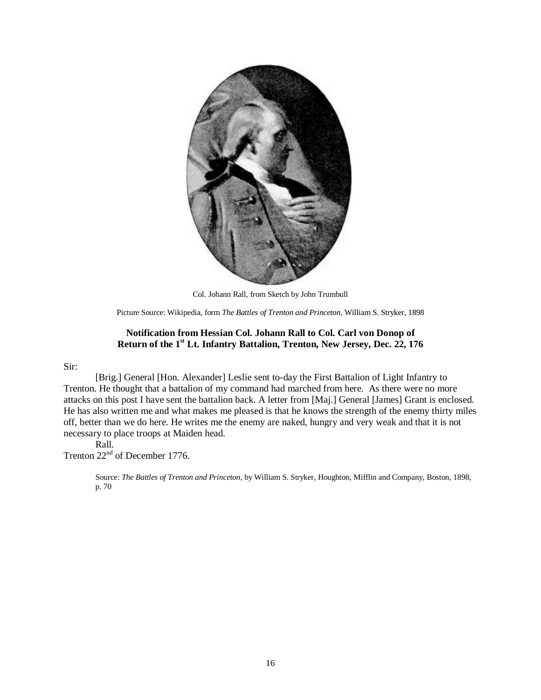

Col. Johann Rall, from Sketch by John Trumbull

Picture Source: Wikipedia, form *The Battles of Trenton and Princeton*, William S. Stryker, 1898

## **Notification from Hessian Col. Johann Rall to Col. Carl von Donop of Return of the 1st Lt. Infantry Battalion, Trenton, New Jersey, Dec. 22, 176**

#### Sir:

[Brig.] General [Hon. Alexander] Leslie sent to-day the First Battalion of Light Infantry to Trenton. He thought that a battalion of my command had marched from here. As there were no more attacks on this post I have sent the battalion back. A letter from [Maj.] General [James] Grant is enclosed. He has also written me and what makes me pleased is that he knows the strength of the enemy thirty miles off, better than we do here. He writes me the enemy are naked, hungry and very weak and that it is not necessary to place troops at Maiden head.

## Rall.

Trenton  $22<sup>nd</sup>$  of December 1776.

Source: *The Battles of Trenton and Princeton*, by William S. Stryker, Houghton, Mifflin and Company, Boston, 1898, p. 70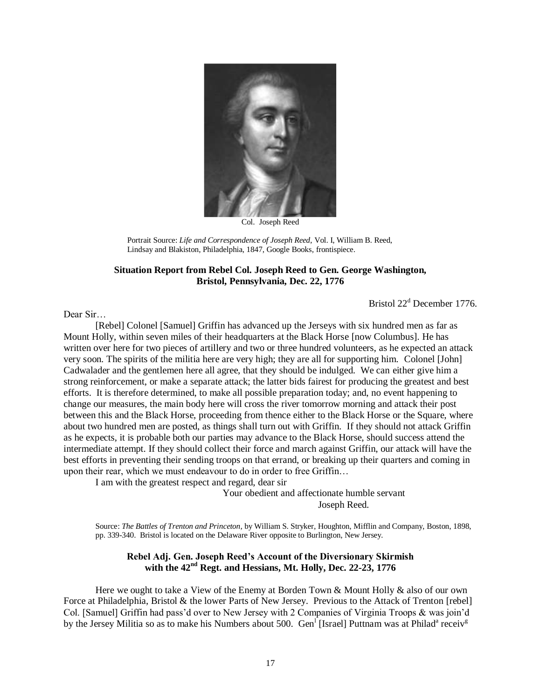

Col. Joseph Reed

Portrait Source: *Life and Correspondence of Joseph Reed*, Vol. I, William B. Reed, Lindsay and Blakiston, Philadelphia, 1847, Google Books, frontispiece.

## **Situation Report from Rebel Col. Joseph Reed to Gen. George Washington, Bristol, Pennsylvania, Dec. 22, 1776**

Bristol 22<sup>d</sup> December 1776.

Dear Sir…

[Rebel] Colonel [Samuel] Griffin has advanced up the Jerseys with six hundred men as far as Mount Holly, within seven miles of their headquarters at the Black Horse [now Columbus]. He has written over here for two pieces of artillery and two or three hundred volunteers, as he expected an attack very soon. The spirits of the militia here are very high; they are all for supporting him. Colonel [John] Cadwalader and the gentlemen here all agree, that they should be indulged. We can either give him a strong reinforcement, or make a separate attack; the latter bids fairest for producing the greatest and best efforts. It is therefore determined, to make all possible preparation today; and, no event happening to change our measures, the main body here will cross the river tomorrow morning and attack their post between this and the Black Horse, proceeding from thence either to the Black Horse or the Square, where about two hundred men are posted, as things shall turn out with Griffin. If they should not attack Griffin as he expects, it is probable both our parties may advance to the Black Horse, should success attend the intermediate attempt. If they should collect their force and march against Griffin, our attack will have the best efforts in preventing their sending troops on that errand, or breaking up their quarters and coming in upon their rear, which we must endeavour to do in order to free Griffin…

I am with the greatest respect and regard, dear sir

Your obedient and affectionate humble servant Joseph Reed.

Source: *The Battles of Trenton and Princeton*, by William S. Stryker, Houghton, Mifflin and Company, Boston, 1898, pp. 339-340. Bristol is located on the Delaware River opposite to Burlington, New Jersey.

# **Rebel Adj. Gen. Joseph Reed's Account of the Diversionary Skirmish with the 42nd Regt. and Hessians, Mt. Holly, Dec. 22-23, 1776**

Here we ought to take a View of the Enemy at Borden Town & Mount Holly & also of our own Force at Philadelphia, Bristol & the lower Parts of New Jersey. Previous to the Attack of Trenton [rebel] Col. [Samuel] Griffin had pass'd over to New Jersey with 2 Companies of Virginia Troops & was join'd by the Jersey Militia so as to make his Numbers about 500. Gen<sup>1</sup> [Israel] Puttnam was at Philad<sup>a</sup> receiv<sup>g</sup>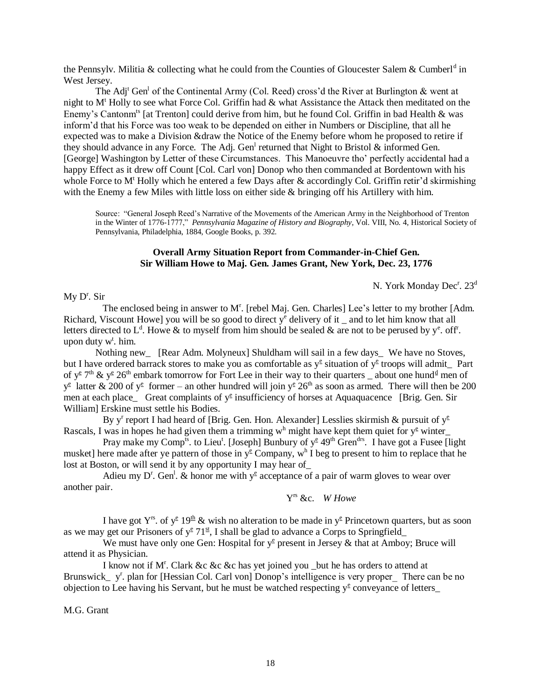the Pennsylv. Militia & collecting what he could from the Counties of Gloucester Salem & Cumberl<sup>d</sup> in West Jersey.

The Adj<sup>t</sup> Gen<sup>1</sup> of the Continental Army (Col. Reed) cross'd the River at Burlington & went at night to  $M<sup>t</sup>$  Holly to see what Force Col. Griffin had  $\&$  what Assistance the Attack then meditated on the Enemy's Cantonm<sup>ts</sup> [at Trenton] could derive from him, but he found Col. Griffin in bad Health & was inform'd that his Force was too weak to be depended on either in Numbers or Discipline, that all he expected was to make a Division &draw the Notice of the Enemy before whom he proposed to retire if they should advance in any Force. The Adj. Gen<sup>1</sup> returned that Night to Bristol & informed Gen. [George] Washington by Letter of these Circumstances. This Manoeuvre tho' perfectly accidental had a happy Effect as it drew off Count [Col. Carl von] Donop who then commanded at Bordentown with his whole Force to  $M<sup>t</sup>$  Holly which he entered a few Days after & accordingly Col. Griffin retir'd skirmishing with the Enemy a few Miles with little loss on either side & bringing off his Artillery with him.

Source: "General Joseph Reed's Narrative of the Movements of the American Army in the Neighborhood of Trenton in the Winter of 1776-1777," *Pennsylvania Magazine of History and Biography*, Vol. VIII, No. 4, Historical Society of Pennsylvania, Philadelphia, 1884, Google Books, p. 392.

#### **Overall Army Situation Report from Commander-in-Chief Gen. Sir William Howe to Maj. Gen. James Grant, New York, Dec. 23, 1776**

N. York Monday Dec<sup>r</sup>. 23<sup>d</sup>

 $My D<sup>r</sup>$ . Sir

The enclosed being in answer to M<sup>r</sup>. [rebel Maj. Gen. Charles] Lee's letter to my brother [Adm. Richard, Viscount Howe] you will be so good to direct  $y^e$  delivery of it  $\Delta$  and to let him know that all letters directed to L<sup>d</sup>. Howe & to myself from him should be sealed & are not to be perused by y<sup>e</sup>. off. upon duty w<sup>t</sup>. him.

 Nothing new\_ [Rear Adm. Molyneux] Shuldham will sail in a few days\_ We have no Stoves, but I have ordered barrack stores to make you as comfortable as  $y^{\epsilon}$  situation of  $y^{\epsilon}$  troops will admit Part of y<sup>e</sup> 7<sup>th</sup> & y<sup>e</sup> 26<sup>th</sup> embark tomorrow for Fort Lee in their way to their quarters  $\Delta$  about one hund<sup>d</sup> men of  $y^{\epsilon}$  latter & 200 of  $y^{\epsilon}$  former – an other hundred will join  $y^{\epsilon}$  26<sup>th</sup> as soon as armed. There will then be 200 men at each place\_ Great complaints of y<sup>e</sup> insufficiency of horses at Aquaquacence [Brig. Gen. Sir William] Erskine must settle his Bodies.

By y<sup>r</sup> report I had heard of [Brig. Gen. Hon. Alexander] Lesslies skirmish & pursuit of y<sup>e</sup> Rascals, I was in hopes he had given them a trimming w<sup>h</sup> might have kept them quiet for  $y^e$  winter

Pray make my Comp<sup>ts</sup>. to Lieu<sup>t</sup>. [Joseph] Bunbury of  $y^{\epsilon}$  49<sup>th</sup> Gren<sup>drs</sup>. I have got a Fusee [light] musket] here made after ye pattern of those in  $y^{\epsilon}$  Company,  $w^{h}$  I beg to present to him to replace that he lost at Boston, or will send it by any opportunity I may hear of\_

Adieu my D<sup>r</sup>. Gen<sup>1</sup>. & honor me with  $y^e$  acceptance of a pair of warm gloves to wear over another pair.

Y<sup>rs</sup> &c. W Howe

I have got Y<sup>rs</sup>. of y<sup>e</sup> 19<sup>th</sup> & wish no alteration to be made in y<sup>e</sup> Princetown quarters, but as soon as we may get our Prisoners of  $y^{\epsilon}$  71<sup>st</sup>, I shall be glad to advance a Corps to Springfield

We must have only one Gen: Hospital for  $y^e$  present in Jersey & that at Amboy; Bruce will attend it as Physician.

I know not if M<sup>r</sup>. Clark &c &c &c has yet joined you \_but he has orders to attend at Brunswick \_ y<sup>r</sup>. plan for [Hessian Col. Carl von] Donop's intelligence is very proper There can be no objection to Lee having his Servant, but he must be watched respecting  $y^e$  conveyance of letters

M.G. Grant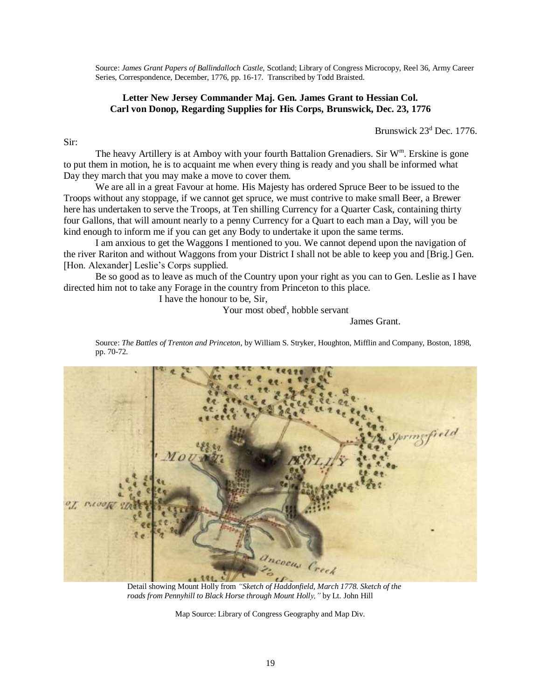Source: *James Grant Papers of Ballindalloch Castle,* Scotland; Library of Congress Microcopy, Reel 36, Army Career Series, Correspondence, December, 1776, pp. 16-17. Transcribed by Todd Braisted.

# **Letter New Jersey Commander Maj. Gen. James Grant to Hessian Col. Carl von Donop, Regarding Supplies for His Corps, Brunswick, Dec. 23, 1776**

Brunswick  $23<sup>d</sup>$  Dec. 1776.

The heavy Artillery is at Amboy with your fourth Battalion Grenadiers. Sir W<sup>m</sup>. Erskine is gone to put them in motion, he is to acquaint me when every thing is ready and you shall be informed what Day they march that you may make a move to cover them.

We are all in a great Favour at home. His Majesty has ordered Spruce Beer to be issued to the Troops without any stoppage, if we cannot get spruce, we must contrive to make small Beer, a Brewer here has undertaken to serve the Troops, at Ten shilling Currency for a Quarter Cask, containing thirty four Gallons, that will amount nearly to a penny Currency for a Quart to each man a Day, will you be kind enough to inform me if you can get any Body to undertake it upon the same terms.

I am anxious to get the Waggons I mentioned to you. We cannot depend upon the navigation of the river Rariton and without Waggons from your District I shall not be able to keep you and [Brig.] Gen. [Hon. Alexander] Leslie's Corps supplied.

Be so good as to leave as much of the Country upon your right as you can to Gen. Leslie as I have directed him not to take any Forage in the country from Princeton to this place.

I have the honour to be, Sir,

Sir:

Your most obed<sup>t</sup>, hobble servant

James Grant.

Source: *The Battles of Trenton and Princeton*, by William S. Stryker, Houghton, Mifflin and Company, Boston, 1898, pp. 70-72.



Detail showing Mount Holly from *"Sketch of Haddonfield, March 1778. Sketch of the roads from Pennyhill to Black Horse through Mount Holly,"* by Lt. John Hill

Map Source: Library of Congress Geography and Map Div.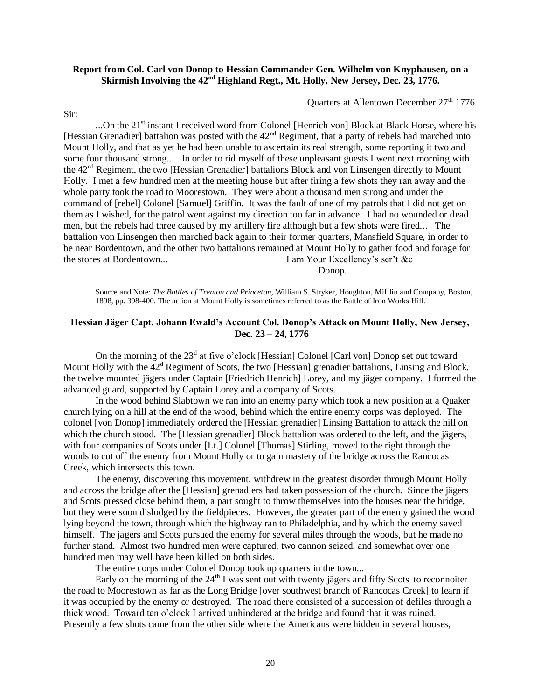## **Report from Col. Carl von Donop to Hessian Commander Gen. Wilhelm von Knyphausen, on a Skirmish Involving the 42nd Highland Regt., Mt. Holly, New Jersey, Dec. 23, 1776.**

Ouarters at Allentown December  $27<sup>th</sup>$  1776.

Sir:

...On the 21<sup>st</sup> instant I received word from Colonel [Henrich von] Block at Black Horse, where his [Hessian Grenadier] battalion was posted with the  $42<sup>nd</sup>$  Regiment, that a party of rebels had marched into Mount Holly, and that as yet he had been unable to ascertain its real strength, some reporting it two and some four thousand strong... In order to rid myself of these unpleasant guests I went next morning with the  $42<sup>nd</sup>$  Regiment, the two [Hessian Grenadier] battalions Block and von Linsengen directly to Mount Holly. I met a few hundred men at the meeting house but after firing a few shots they ran away and the whole party took the road to Moorestown. They were about a thousand men strong and under the command of [rebel] Colonel [Samuel] Griffin. It was the fault of one of my patrols that I did not get on them as I wished, for the patrol went against my direction too far in advance. I had no wounded or dead men, but the rebels had three caused by my artillery fire although but a few shots were fired... The battalion von Linsengen then marched back again to their former quarters, Mansfield Square, in order to be near Bordentown, and the other two battalions remained at Mount Holly to gather food and forage for the stores at Bordentown... I am Your Excellency's ser't &c

Donop.

Source and Note: *The Battles of Trenton and Princeton*, William S. Stryker, Houghton, Mifflin and Company, Boston, 1898, pp. 398-400. The action at Mount Holly is sometimes referred to as the Battle of Iron Works Hill.

## **Hessian Jäger Capt. Johann Ewald's Account Col. Donop's Attack on Mount Holly, New Jersey, Dec. 23 – 24, 1776**

On the morning of the 23<sup>d</sup> at five o'clock [Hessian] Colonel [Carl von] Donop set out toward Mount Holly with the  $42<sup>d</sup>$  Regiment of Scots, the two [Hessian] grenadier battalions, Linsing and Block, the twelve mounted jägers under Captain [Friedrich Henrich] Lorey, and my jäger company. I formed the advanced guard, supported by Captain Lorey and a company of Scots.

In the wood behind Slabtown we ran into an enemy party which took a new position at a Quaker church lying on a hill at the end of the wood, behind which the entire enemy corps was deployed. The colonel [von Donop] immediately ordered the [Hessian grenadier] Linsing Battalion to attack the hill on which the church stood. The [Hessian grenadier] Block battalion was ordered to the left, and the jägers, with four companies of Scots under [Lt.] Colonel [Thomas] Stirling, moved to the right through the woods to cut off the enemy from Mount Holly or to gain mastery of the bridge across the Rancocas Creek, which intersects this town.

The enemy, discovering this movement, withdrew in the greatest disorder through Mount Holly and across the bridge after the [Hessian] grenadiers had taken possession of the church. Since the jägers and Scots pressed close behind them, a part sought to throw themselves into the houses near the bridge, but they were soon dislodged by the fieldpieces. However, the greater part of the enemy gained the wood lying beyond the town, through which the highway ran to Philadelphia, and by which the enemy saved himself. The jägers and Scots pursued the enemy for several miles through the woods, but he made no further stand. Almost two hundred men were captured, two cannon seized, and somewhat over one hundred men may well have been killed on both sides.

The entire corps under Colonel Donop took up quarters in the town...

Early on the morning of the  $24<sup>th</sup>$  I was sent out with twenty jägers and fifty Scots to reconnoiter the road to Moorestown as far as the Long Bridge [over southwest branch of Rancocas Creek] to learn if it was occupied by the enemy or destroyed. The road there consisted of a succession of defiles through a thick wood. Toward ten o'clock I arrived unhindered at the bridge and found that it was ruined. Presently a few shots came from the other side where the Americans were hidden in several houses,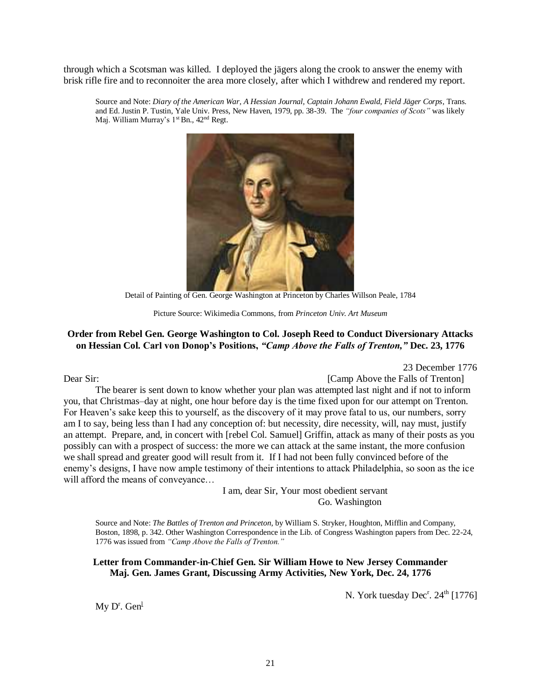through which a Scotsman was killed. I deployed the jägers along the crook to answer the enemy with brisk rifle fire and to reconnoiter the area more closely, after which I withdrew and rendered my report.

Source and Note: *Diary of the American War, A Hessian Journal, Captain Johann Ewald, Field Jäger Corps*, Trans. and Ed. Justin P. Tustin, Yale Univ. Press, New Haven, 1979, pp. 38-39. The *"four companies of Scots"* was likely Maj. William Murray's 1st Bn., 42<sup>nd</sup> Regt.



Detail of Painting of Gen. George Washington at Princeton by Charles Willson Peale, 1784

Picture Source: Wikimedia Commons, from *Princeton Univ. Art Museum*

## **Order from Rebel Gen. George Washington to Col. Joseph Reed to Conduct Diversionary Attacks on Hessian Col. Carl von Donop's Positions,** *"Camp Above the Falls of Trenton,"* **Dec. 23, 1776**

23 December 1776

Dear Sir: [Camp Above the Falls of Trenton]

The bearer is sent down to know whether your plan was attempted last night and if not to inform you, that Christmas–day at night, one hour before day is the time fixed upon for our attempt on Trenton. For Heaven's sake keep this to yourself, as the discovery of it may prove fatal to us, our numbers, sorry am I to say, being less than I had any conception of: but necessity, dire necessity, will, nay must, justify an attempt. Prepare, and, in concert with [rebel Col. Samuel] Griffin, attack as many of their posts as you possibly can with a prospect of success: the more we can attack at the same instant, the more confusion we shall spread and greater good will result from it. If I had not been fully convinced before of the enemy's designs, I have now ample testimony of their intentions to attack Philadelphia, so soon as the ice will afford the means of conveyance…

> I am, dear Sir, Your most obedient servant Go. Washington

Source and Note: *The Battles of Trenton and Princeton*, by William S. Stryker, Houghton, Mifflin and Company, Boston, 1898, p. 342. Other Washington Correspondence in the Lib. of Congress Washington papers from Dec. 22-24, 1776 was issued from *"Camp Above the Falls of Trenton."*

**Letter from Commander-in-Chief Gen. Sir William Howe to New Jersey Commander Maj. Gen. James Grant, Discussing Army Activities, New York, Dec. 24, 1776**

N. York tuesday  $\text{Dec}^r$ .  $24^{\text{th}}$  [1776]

 $My D<sup>r</sup>$ . Gen $<sup>1</sup>$ </sup>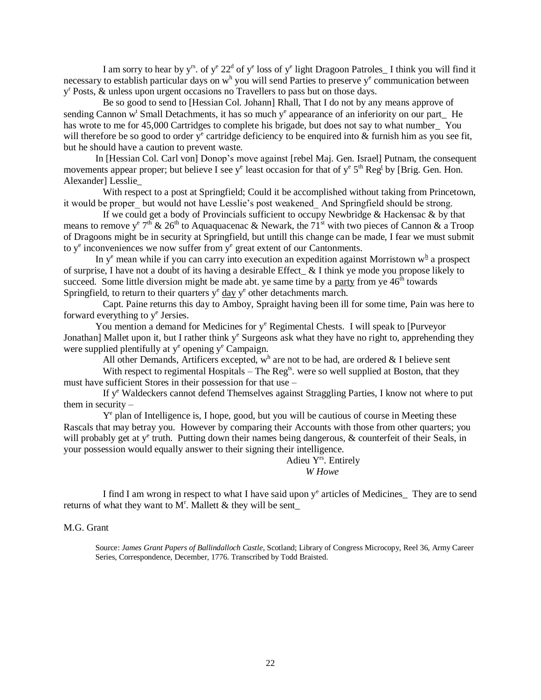I am sorry to hear by  $y^{rs}$ . of  $y^e 22^d$  of  $y^e$  loss of  $y^e$  light Dragoon Patroles I think you will find it necessary to establish particular days on  $w<sup>h</sup>$  you will send Parties to preserve  $y<sup>e</sup>$  communication between y<sup>r</sup> Posts, & unless upon urgent occasions no Travellers to pass but on those days.

 Be so good to send to [Hessian Col. Johann] Rhall, That I do not by any means approve of sending Cannon w<sup>t</sup> Small Detachments, it has so much y<sup>e</sup> appearance of an inferiority on our part\_ He has wrote to me for 45,000 Cartridges to complete his brigade, but does not say to what number\_ You will therefore be so good to order  $y^e$  cartridge deficiency to be enquired into  $\&$  furnish him as you see fit, but he should have a caution to prevent waste.

In [Hessian Col. Carl von] Donop's move against [rebel Maj. Gen. Israel] Putnam, the consequent movements appear proper; but believe I see  $y^e$  least occasion for that of  $y^e$  5<sup>th</sup> Reg<sup>t</sup> by [Brig. Gen. Hon. Alexander] Lesslie\_

 With respect to a post at Springfield; Could it be accomplished without taking from Princetown, it would be proper but would not have Lesslie's post weakened And Springfield should be strong.

 If we could get a body of Provincials sufficient to occupy Newbridge & Hackensac & by that means to remove y<sup>e</sup> 7<sup>th</sup> & 26<sup>th</sup> to Aquaquacenac & Newark, the 71<sup>st</sup> with two pieces of Cannon & a Troop of Dragoons might be in security at Springfield, but untill this change can be made, I fear we must submit to  $y^e$  inconveniences we now suffer from  $y^e$  great extent of our Cantonments.

In  $y^e$  mean while if you can carry into execution an expedition against Morristown  $w^h$  a prospect of surprise, I have not a doubt of its having a desirable Effect\_ & I think ye mode you propose likely to succeed. Some little diversion might be made abt. ye same time by a party from ye  $46<sup>th</sup>$  towards Springfield, to return to their quarters  $y^e$  day  $y^e$  other detachments march.

 Capt. Paine returns this day to Amboy, Spraight having been ill for some time, Pain was here to forward everything to y<sup>e</sup> Jersies.

You mention a demand for Medicines for  $y^e$  Regimental Chests. I will speak to [Purveyor Jonathan] Mallet upon it, but I rather think  $y^e$  Surgeons ask what they have no right to, apprehending they were supplied plentifully at y<sup>e</sup> opening y<sup>e</sup> Campaign.

All other Demands, Artificers excepted,  $w<sup>h</sup>$  are not to be had, are ordered & I believe sent

With respect to regimental Hospitals – The Reg<sup>ts</sup>, were so well supplied at Boston, that they must have sufficient Stores in their possession for that use –

 If y<sup>e</sup> Waldeckers cannot defend Themselves against Straggling Parties, I know not where to put them in security –

Y<sup>e</sup> plan of Intelligence is, I hope, good, but you will be cautious of course in Meeting these Rascals that may betray you. However by comparing their Accounts with those from other quarters; you will probably get at y<sup>e</sup> truth. Putting down their names being dangerous, & counterfeit of their Seals, in your possession would equally answer to their signing their intelligence.

Adieu Yrs. Entirely *W Howe*

I find I am wrong in respect to what I have said upon y<sup>e</sup> articles of Medicines\_ They are to send returns of what they want to  $M<sup>r</sup>$ . Mallett & they will be sent\_

#### M.G. Grant

Source: *James Grant Papers of Ballindalloch Castle*, Scotland; Library of Congress Microcopy, Reel 36, Army Career Series, Correspondence, December, 1776. Transcribed by Todd Braisted.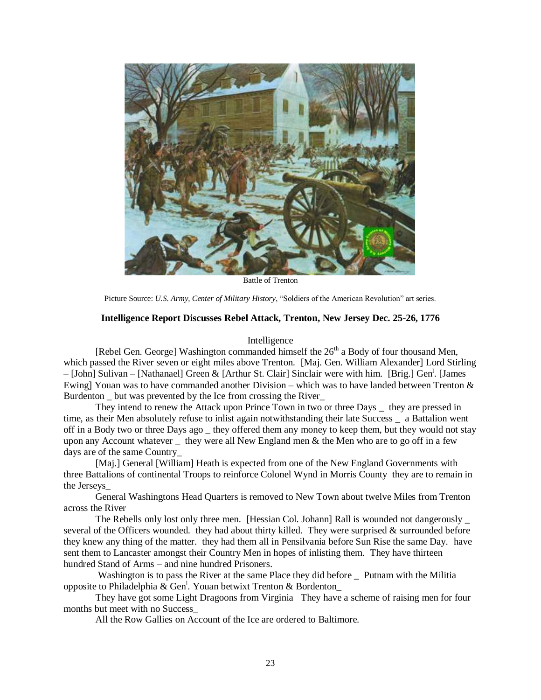

Battle of Trenton

Picture Source: *U.S. Army, Center of Military History*, "Soldiers of the American Revolution" art series.

#### **Intelligence Report Discusses Rebel Attack, Trenton, New Jersey Dec. 25-26, 1776**

#### Intelligence

[Rebel Gen. George] Washington commanded himself the  $26<sup>th</sup>$  a Body of four thousand Men, which passed the River seven or eight miles above Trenton. [Maj. Gen. William Alexander] Lord Stirling – [John] Sulivan – [Nathanael] Green & [Arthur St. Clair] Sinclair were with him. [Brig.] Gen<sup>1</sup>. [James Ewing] Youan was to have commanded another Division – which was to have landed between Trenton & Burdenton but was prevented by the Ice from crossing the River

 They intend to renew the Attack upon Prince Town in two or three Days \_ they are pressed in time, as their Men absolutely refuse to inlist again notwithstanding their late Success \_ a Battalion went off in a Body two or three Days ago \_ they offered them any money to keep them, but they would not stay upon any Account whatever they were all New England men  $&$  the Men who are to go off in a few days are of the same Country\_

 [Maj.] General [William] Heath is expected from one of the New England Governments with three Battalions of continental Troops to reinforce Colonel Wynd in Morris County they are to remain in the Jerseys\_

 General Washingtons Head Quarters is removed to New Town about twelve Miles from Trenton across the River

The Rebells only lost only three men. [Hessian Col. Johann] Rall is wounded not dangerously \_ several of the Officers wounded. they had about thirty killed. They were surprised  $\&$  surrounded before they knew any thing of the matter. they had them all in Pensilvania before Sun Rise the same Day. have sent them to Lancaster amongst their Country Men in hopes of inlisting them. They have thirteen hundred Stand of Arms – and nine hundred Prisoners.

Washington is to pass the River at the same Place they did before \_ Putnam with the Militia opposite to Philadelphia & Gen<sup>1</sup>. Youan betwixt Trenton & Bordenton

 They have got some Light Dragoons from Virginia They have a scheme of raising men for four months but meet with no Success\_

All the Row Gallies on Account of the Ice are ordered to Baltimore.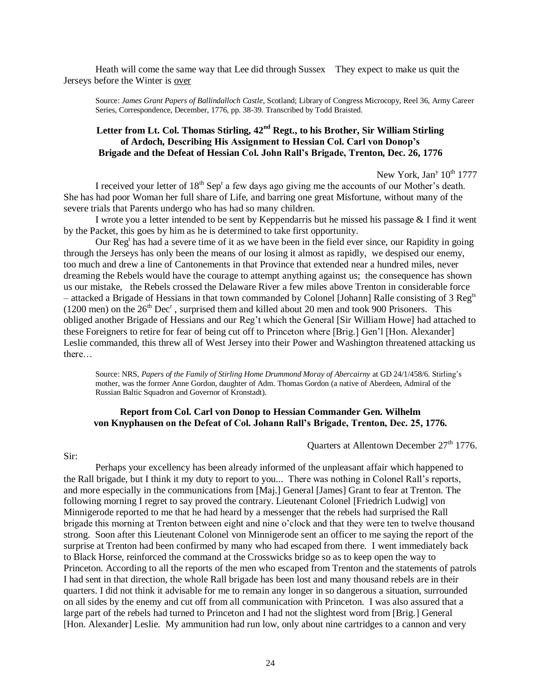Heath will come the same way that Lee did through Sussex They expect to make us quit the Jerseys before the Winter is over

Source: *James Grant Papers of Ballindalloch Castle*, Scotland; Library of Congress Microcopy, Reel 36, Army Career Series, Correspondence, December, 1776, pp. 38-39. Transcribed by Todd Braisted.

# **Letter from Lt. Col. Thomas Stirling, 42nd Regt., to his Brother, Sir William Stirling of Ardoch, Describing His Assignment to Hessian Col. Carl von Donop's Brigade and the Defeat of Hessian Col. John Rall's Brigade, Trenton, Dec. 26, 1776**

New York, Jan<sup>y</sup> 10<sup>th</sup> 1777

I received your letter of 18<sup>th</sup> Sep<sup>r</sup> a few days ago giving me the accounts of our Mother's death. She has had poor Woman her full share of Life, and barring one great Misfortune, without many of the severe trials that Parents undergo who has had so many children.

I wrote you a letter intended to be sent by Keppendarris but he missed his passage  $\&$  I find it went by the Packet, this goes by him as he is determined to take first opportunity.

Our Reg<sup>t</sup> has had a severe time of it as we have been in the field ever since, our Rapidity in going through the Jerseys has only been the means of our losing it almost as rapidly, we despised our enemy, too much and drew a line of Cantonements in that Province that extended near a hundred miles, never dreaming the Rebels would have the courage to attempt anything against us; the consequence has shown us our mistake, the Rebels crossed the Delaware River a few miles above Trenton in considerable force – attacked a Brigade of Hessians in that town commanded by Colonel [Johann] Ralle consisting of 3 Regts (1200 men) on the  $26<sup>th</sup> Dec<sup>r</sup>$ , surprised them and killed about 20 men and took 900 Prisoners. This obliged another Brigade of Hessians and our Reg't which the General [Sir William Howe] had attached to these Foreigners to retire for fear of being cut off to Princeton where [Brig.] Gen'l [Hon. Alexander] Leslie commanded, this threw all of West Jersey into their Power and Washington threatened attacking us there…

Source: NRS, *Papers of the Family of Stirling Home Drummond Moray of Abercairny* at GD 24/1/458/6. Stirling's mother, was the former Anne Gordon, daughter of Adm. Thomas Gordon (a native of Aberdeen, Admiral of the Russian Baltic Squadron and Governor of Kronstadt).

## **Report from Col. Carl von Donop to Hessian Commander Gen. Wilhelm von Knyphausen on the Defeat of Col. Johann Rall's Brigade, Trenton, Dec. 25, 1776.**

Quarters at Allentown December 27<sup>th</sup> 1776.

#### Sir:

Perhaps your excellency has been already informed of the unpleasant affair which happened to the Rall brigade, but I think it my duty to report to you... There was nothing in Colonel Rall's reports, and more especially in the communications from [Maj.] General [James] Grant to fear at Trenton. The following morning I regret to say proved the contrary. Lieutenant Colonel [Friedrich Ludwig] von Minnigerode reported to me that he had heard by a messenger that the rebels had surprised the Rall brigade this morning at Trenton between eight and nine o'clock and that they were ten to twelve thousand strong. Soon after this Lieutenant Colonel von Minnigerode sent an officer to me saying the report of the surprise at Trenton had been confirmed by many who had escaped from there. I went immediately back to Black Horse, reinforced the command at the Crosswicks bridge so as to keep open the way to Princeton. According to all the reports of the men who escaped from Trenton and the statements of patrols I had sent in that direction, the whole Rall brigade has been lost and many thousand rebels are in their quarters. I did not think it advisable for me to remain any longer in so dangerous a situation, surrounded on all sides by the enemy and cut off from all communication with Princeton. I was also assured that a large part of the rebels had turned to Princeton and I had not the slightest word from [Brig.] General [Hon. Alexander] Leslie. My ammunition had run low, only about nine cartridges to a cannon and very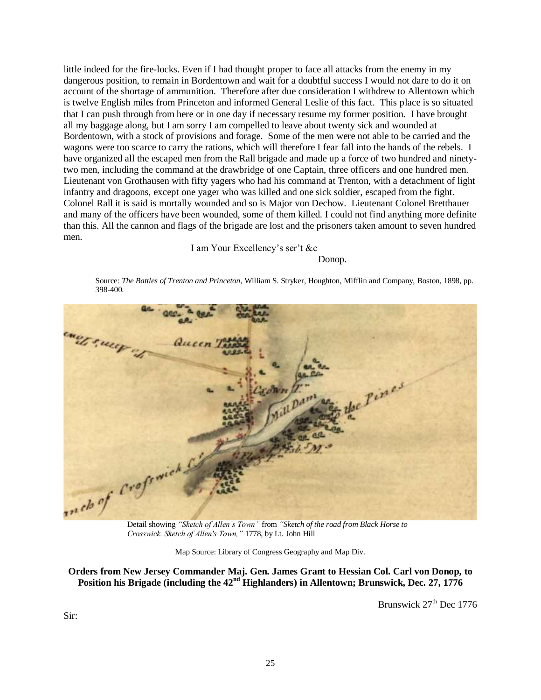little indeed for the fire-locks. Even if I had thought proper to face all attacks from the enemy in my dangerous position, to remain in Bordentown and wait for a doubtful success I would not dare to do it on account of the shortage of ammunition. Therefore after due consideration I withdrew to Allentown which is twelve English miles from Princeton and informed General Leslie of this fact. This place is so situated that I can push through from here or in one day if necessary resume my former position. I have brought all my baggage along, but I am sorry I am compelled to leave about twenty sick and wounded at Bordentown, with a stock of provisions and forage. Some of the men were not able to be carried and the wagons were too scarce to carry the rations, which will therefore I fear fall into the hands of the rebels. I have organized all the escaped men from the Rall brigade and made up a force of two hundred and ninetytwo men, including the command at the drawbridge of one Captain, three officers and one hundred men. Lieutenant von Grothausen with fifty yagers who had his command at Trenton, with a detachment of light infantry and dragoons, except one yager who was killed and one sick soldier, escaped from the fight. Colonel Rall it is said is mortally wounded and so is Major von Dechow. Lieutenant Colonel Bretthauer and many of the officers have been wounded, some of them killed. I could not find anything more definite than this. All the cannon and flags of the brigade are lost and the prisoners taken amount to seven hundred men.

I am Your Excellency's ser't &c

Donop.

Source: *The Battles of Trenton and Princeton*, William S. Stryker, Houghton, Mifflin and Company, Boston, 1898, pp. 398-400.



*Crosswick. Sketch of Allen's Town,"* 1778, by Lt. John Hill

Map Source: Library of Congress Geography and Map Div.

**Orders from New Jersey Commander Maj. Gen. James Grant to Hessian Col. Carl von Donop, to Position his Brigade (including the 42nd Highlanders) in Allentown; Brunswick, Dec. 27, 1776**

Brunswick 27<sup>th</sup> Dec 1776

Sir: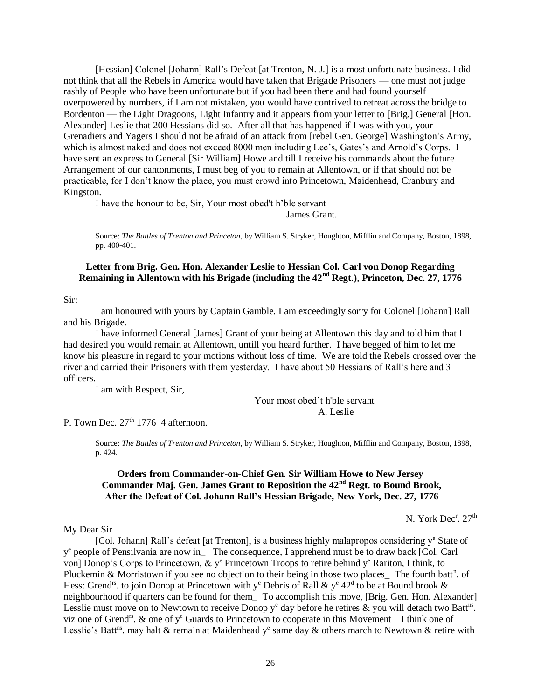[Hessian] Colonel [Johann] Rall's Defeat [at Trenton, N. J.] is a most unfortunate business. I did not think that all the Rebels in America would have taken that Brigade Prisoners — one must not judge rashly of People who have been unfortunate but if you had been there and had found yourself overpowered by numbers, if I am not mistaken, you would have contrived to retreat across the bridge to Bordenton — the Light Dragoons, Light Infantry and it appears from your letter to [Brig.] General [Hon. Alexander] Leslie that 200 Hessians did so. After all that has happened if I was with you, your Grenadiers and Yagers I should not be afraid of an attack from [rebel Gen. George] Washington's Army, which is almost naked and does not exceed 8000 men including Lee's, Gates's and Arnold's Corps. I have sent an express to General [Sir William] Howe and till I receive his commands about the future Arrangement of our cantonments, I must beg of you to remain at Allentown, or if that should not be practicable, for I don't know the place, you must crowd into Princetown, Maidenhead, Cranbury and Kingston.

I have the honour to be, Sir, Your most obed't h'ble servant

James Grant.

Source: *The Battles of Trenton and Princeton*, by William S. Stryker, Houghton, Mifflin and Company, Boston, 1898, pp. 400-401.

## **Letter from Brig. Gen. Hon. Alexander Leslie to Hessian Col. Carl von Donop Regarding Remaining in Allentown with his Brigade (including the 42nd Regt.), Princeton, Dec. 27, 1776**

#### Sir:

I am honoured with yours by Captain Gamble. I am exceedingly sorry for Colonel [Johann] Rall and his Brigade.

I have informed General [James] Grant of your being at Allentown this day and told him that I had desired you would remain at Allentown, untill you heard further. I have begged of him to let me know his pleasure in regard to your motions without loss of time. We are told the Rebels crossed over the river and carried their Prisoners with them yesterday. I have about 50 Hessians of Rall's here and 3 officers.

I am with Respect, Sir,

Your most obed't h'ble servant A. Leslie

P. Town Dec.  $27<sup>th</sup> 1776$  4 afternoon.

Source: *The Battles of Trenton and Princeton*, by William S. Stryker, Houghton, Mifflin and Company, Boston, 1898, p. 424.

## **Orders from Commander-on-Chief Gen. Sir William Howe to New Jersey Commander Maj. Gen. James Grant to Reposition the 42nd Regt. to Bound Brook, After the Defeat of Col. Johann Rall's Hessian Brigade, New York, Dec. 27, 1776**

N. York Dec<sup>r</sup>. 27<sup>th</sup>

My Dear Sir

[Col. Johann] Rall's defeat [at Trenton], is a business highly malapropos considering  $y^e$  State of y<sup>e</sup> people of Pensilvania are now in\_ The consequence, I apprehend must be to draw back [Col. Carl von] Donop's Corps to Princetown, & y<sup>e</sup> Princetown Troops to retire behind y<sup>e</sup> Rariton, I think, to Pluckemin & Morristown if you see no objection to their being in those two places The fourth batt<sup>n</sup>. of Hess: Grend<sup>18</sup>. to join Donop at Princetown with y<sup>e</sup> Debris of Rall & y<sup>e</sup> 42<sup>d</sup> to be at Bound brook & neighbourhood if quarters can be found for them\_ To accomplish this move, [Brig. Gen. Hon. Alexander] Lesslie must move on to Newtown to receive Donop  $y^e$  day before he retires & you will detach two Batt<sup>ns</sup>. viz one of Grend<sup>rs</sup>. & one of  $y^e$  Guards to Princetown to cooperate in this Movement I think one of Lesslie's Batt<sup>ns</sup>. may halt & remain at Maidenhead y<sup>e</sup> same day & others march to Newtown & retire with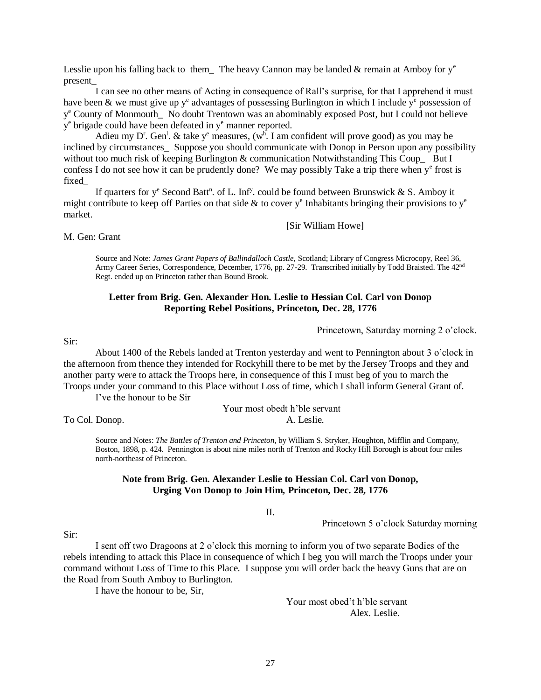Lesslie upon his falling back to them The heavy Cannon may be landed  $\&$  remain at Amboy for  $y^e$ present\_

 I can see no other means of Acting in consequence of Rall's surprise, for that I apprehend it must have been & we must give up  $y^e$  advantages of possessing Burlington in which I include  $y^e$  possession of y <sup>e</sup> County of Monmouth\_ No doubt Trentown was an abominably exposed Post, but I could not believe y<sup>e</sup> brigade could have been defeated in y<sup>e</sup> manner reported.

Adieu my D<sup>r</sup>. Gen<sup>1</sup>. & take y<sup>e</sup> measures, (w<sup>h</sup>. I am confident will prove good) as you may be inclined by circumstances Suppose you should communicate with Donop in Person upon any possibility without too much risk of keeping Burlington & communication Notwithstanding This Coup But I confess I do not see how it can be prudently done? We may possibly Take a trip there when y<sup>e</sup> frost is fixed\_

If quarters for  $y^e$  Second Batt<sup>n</sup>. of L. Inf<sup>y</sup>. could be found between Brunswick & S. Amboy it might contribute to keep off Parties on that side  $\&$  to cover y<sup>e</sup> Inhabitants bringing their provisions to y<sup>e</sup> market.

[Sir William Howe]

M. Gen: Grant

Source and Note: *James Grant Papers of Ballindalloch Castle*, Scotland; Library of Congress Microcopy, Reel 36, Army Career Series, Correspondence, December, 1776, pp. 27-29. Transcribed initially by Todd Braisted. The 42nd Regt. ended up on Princeton rather than Bound Brook.

## **Letter from Brig. Gen. Alexander Hon. Leslie to Hessian Col. Carl von Donop Reporting Rebel Positions, Princeton, Dec. 28, 1776**

#### Princetown, Saturday morning 2 o'clock.

#### Sir:

About 1400 of the Rebels landed at Trenton yesterday and went to Pennington about 3 o'clock in the afternoon from thence they intended for Rockyhill there to be met by the Jersey Troops and they and another party were to attack the Troops here, in consequence of this I must beg of you to march the Troops under your command to this Place without Loss of time, which I shall inform General Grant of.

I've the honour to be Sir

Your most obedt h'ble servant To Col. Donop. A. Leslie.

Source and Notes: *The Battles of Trenton and Princeton*, by William S. Stryker, Houghton, Mifflin and Company, Boston, 1898, p. 424. Pennington is about nine miles north of Trenton and Rocky Hill Borough is about four miles north-northeast of Princeton.

#### **Note from Brig. Gen. Alexander Leslie to Hessian Col. Carl von Donop, Urging Von Donop to Join Him, Princeton, Dec. 28, 1776**

II.

Princetown 5 o'clock Saturday morning

#### Sir:

I sent off two Dragoons at 2 o'clock this morning to inform you of two separate Bodies of the rebels intending to attack this Place in consequence of which I beg you will march the Troops under your command without Loss of Time to this Place. I suppose you will order back the heavy Guns that are on the Road from South Amboy to Burlington.

I have the honour to be, Sir,

Your most obed't h'ble servant Alex. Leslie.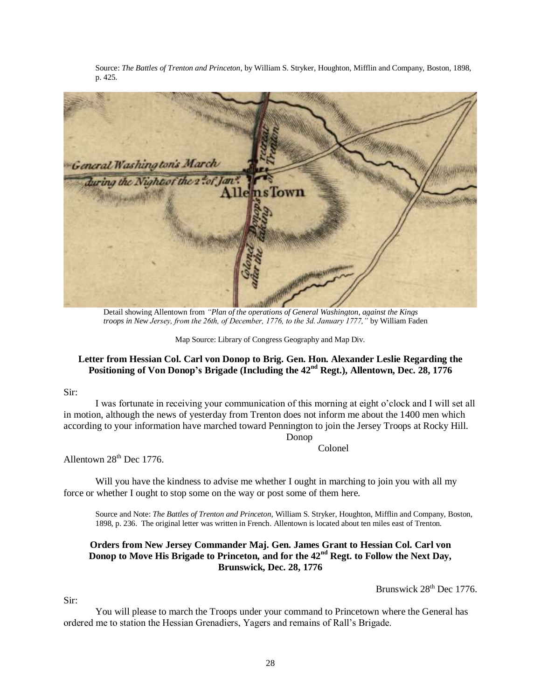Source: *The Battles of Trenton and Princeton*, by William S. Stryker, Houghton, Mifflin and Company, Boston, 1898, p. 425.



Detail showing Allentown from *"Plan of the operations of General Washington, against the Kings troops in New Jersey, from the 26th, of December, 1776, to the 3d. January 1777,"* by William Faden

Map Source: Library of Congress Geography and Map Div.

## **Letter from Hessian Col. Carl von Donop to Brig. Gen. Hon. Alexander Leslie Regarding the Positioning of Von Donop's Brigade (Including the 42nd Regt.), Allentown, Dec. 28, 1776**

#### Sir:

I was fortunate in receiving your communication of this morning at eight o'clock and I will set all in motion, although the news of yesterday from Trenton does not inform me about the 1400 men which according to your information have marched toward Pennington to join the Jersey Troops at Rocky Hill.

Donop

Colonel

Allentown  $28<sup>th</sup>$  Dec 1776.

Will you have the kindness to advise me whether I ought in marching to join you with all my force or whether I ought to stop some on the way or post some of them here.

Source and Note: *The Battles of Trenton and Princeton*, William S. Stryker, Houghton, Mifflin and Company, Boston, 1898, p. 236. The original letter was written in French. Allentown is located about ten miles east of Trenton.

## **Orders from New Jersey Commander Maj. Gen. James Grant to Hessian Col. Carl von Donop to Move His Brigade to Princeton, and for the 42nd Regt. to Follow the Next Day, Brunswick, Dec. 28, 1776**

Brunswick  $28<sup>th</sup>$  Dec 1776.

Sir:

You will please to march the Troops under your command to Princetown where the General has ordered me to station the Hessian Grenadiers, Yagers and remains of Rall's Brigade.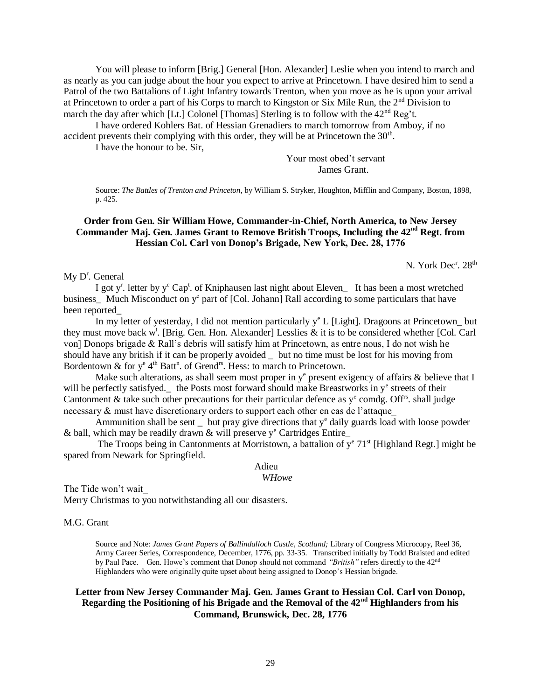You will please to inform [Brig.] General [Hon. Alexander] Leslie when you intend to march and as nearly as you can judge about the hour you expect to arrive at Princetown. I have desired him to send a Patrol of the two Battalions of Light Infantry towards Trenton, when you move as he is upon your arrival at Princetown to order a part of his Corps to march to Kingston or Six Mile Run, the 2<sup>nd</sup> Division to march the day after which [Lt.] Colonel [Thomas] Sterling is to follow with the  $42<sup>nd</sup>$  Reg't.

I have ordered Kohlers Bat. of Hessian Grenadiers to march tomorrow from Amboy, if no accident prevents their complying with this order, they will be at Princetown the  $30<sup>th</sup>$ .

I have the honour to be. Sir,

Your most obed't servant James Grant.

Source: *The Battles of Trenton and Princeton*, by William S. Stryker, Houghton, Mifflin and Company, Boston, 1898, p. 425.

# **Order from Gen. Sir William Howe, Commander-in-Chief, North America, to New Jersey Commander Maj. Gen. James Grant to Remove British Troops, Including the 42nd Regt. from Hessian Col. Carl von Donop's Brigade, New York, Dec. 28, 1776**

N. York Dec<sup>r</sup>. 28<sup>th</sup>

My D<sup>r</sup>. General

I got y<sup>r</sup>. letter by y<sup>e</sup> Cap<sup>t</sup>. of Kniphausen last night about Eleven<sub>g</sub> It has been a most wretched business\_ Much Misconduct on y<sup>e</sup> part of [Col. Johann] Rall according to some particulars that have been reported\_

In my letter of yesterday, I did not mention particularly  $y^e$  L [Light]. Dragoons at Princetown\_but they must move back w<sup>t</sup>. [Brig. Gen. Hon. Alexander] Lesslies & it is to be considered whether [Col. Carl von] Donops brigade & Rall's debris will satisfy him at Princetown, as entre nous, I do not wish he should have any british if it can be properly avoided \_ but no time must be lost for his moving from Bordentown & for  $y^e 4^{th}$  Batt<sup>n</sup>. of Grend<sup>18</sup>. Hess: to march to Princetown.

Make such alterations, as shall seem most proper in  $y^e$  present exigency of affairs  $\&$  believe that I will be perfectly satisfyed. the Posts most forward should make Breastworks in y<sup>e</sup> streets of their Cantonment & take such other precautions for their particular defence as  $y^e$  comdg. Off<sup>rs</sup>. shall judge necessary & must have discretionary orders to support each other en cas de l'attaque\_

Ammunition shall be sent  $\overline{\phantom{a}}$  but pray give directions that  $y^e$  daily guards load with loose powder & ball, which may be readily drawn & will preserve  $y^e$  Cartridges Entire\_

The Troops being in Cantonments at Morristown, a battalion of  $y^e$  71<sup>st</sup> [Highland Regt.] might be spared from Newark for Springfield.

Adieu

*WHowe*

The Tide won't wait\_

Merry Christmas to you notwithstanding all our disasters.

#### M.G. Grant

Source and Note: *James Grant Papers of Ballindalloch Castle*, *Scotland;* Library of Congress Microcopy, Reel 36, Army Career Series, Correspondence, December, 1776, pp. 33-35. Transcribed initially by Todd Braisted and edited by Paul Pace. Gen. Howe's comment that Donop should not command *"British"* refers directly to the 42nd Highlanders who were originally quite upset about being assigned to Donop's Hessian brigade.

#### **Letter from New Jersey Commander Maj. Gen. James Grant to Hessian Col. Carl von Donop, Regarding the Positioning of his Brigade and the Removal of the 42nd Highlanders from his Command, Brunswick, Dec. 28, 1776**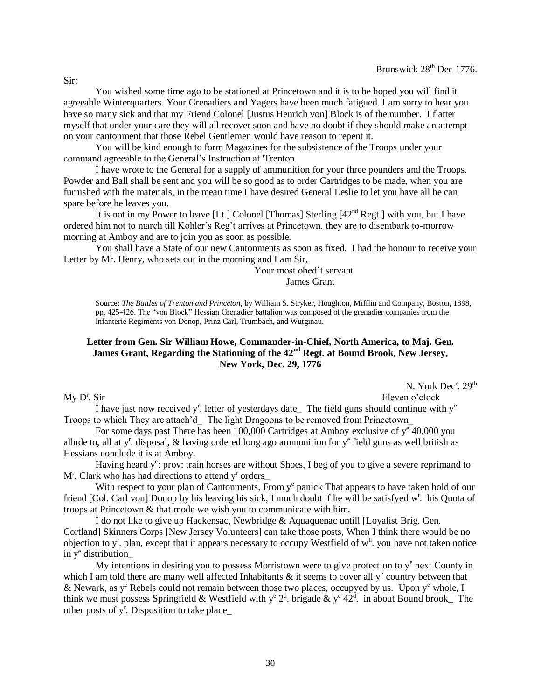You wished some time ago to be stationed at Princetown and it is to be hoped you will find it agreeable Winterquarters. Your Grenadiers and Yagers have been much fatigued. I am sorry to hear you have so many sick and that my Friend Colonel [Justus Henrich von] Block is of the number. I flatter myself that under your care they will all recover soon and have no doubt if they should make an attempt on your cantonment that those Rebel Gentlemen would have reason to repent it.

You will be kind enough to form Magazines for the subsistence of the Troops under your command agreeable to the General's Instruction at 'Trenton.

I have wrote to the General for a supply of ammunition for your three pounders and the Troops. Powder and Ball shall be sent and you will be so good as to order Cartridges to be made, when you are furnished with the materials, in the mean time I have desired General Leslie to let you have all he can spare before he leaves you.

It is not in my Power to leave [Lt.] Colonel [Thomas] Sterling  $[42<sup>nd</sup>$  Regt.] with you, but I have ordered him not to march till Kohler's Reg't arrives at Princetown, they are to disembark to-morrow morning at Amboy and are to join you as soon as possible.

You shall have a State of our new Cantonments as soon as fixed. I had the honour to receive your Letter by Mr. Henry, who sets out in the morning and I am Sir,

> Your most obed't servant James Grant

Source: *The Battles of Trenton and Princeton*, by William S. Stryker, Houghton, Mifflin and Company, Boston, 1898, pp. 425-426. The "von Block" Hessian Grenadier battalion was composed of the grenadier companies from the Infanterie Regiments von Donop, Prinz Carl, Trumbach, and Wutginau.

# **Letter from Gen. Sir William Howe, Commander-in-Chief, North America, to Maj. Gen. James Grant, Regarding the Stationing of the 42nd Regt. at Bound Brook, New Jersey, New York, Dec. 29, 1776**

N. York Dec<sup>r</sup>. 29<sup>th</sup>

Eleven o'clock

I have just now received  $y^r$ . letter of yesterdays date\_ The field guns should continue with  $y^e$ Troops to which They are attach'd The light Dragoons to be removed from Princetown

For some days past There has been  $100,000$  Cartridges at Amboy exclusive of  $y^e$  40,000 you allude to, all at y<sup>r</sup>. disposal, & having ordered long ago ammunition for y<sup>e</sup> field guns as well british as Hessians conclude it is at Amboy.

Having heard  $y^e$ : prov: train horses are without Shoes, I beg of you to give a severe reprimand to M<sup>r</sup>. Clark who has had directions to attend y<sup>r</sup> orders\_

With respect to your plan of Cantonments, From  $y^e$  panick That appears to have taken hold of our friend [Col. Carl von] Donop by his leaving his sick, I much doubt if he will be satisfyed w<sup>t</sup>. his Quota of troops at Princetown & that mode we wish you to communicate with him.

 I do not like to give up Hackensac, Newbridge & Aquaquenac untill [Loyalist Brig. Gen. Cortland] Skinners Corps [New Jersey Volunteers] can take those posts, When I think there would be no objection to y<sup>r</sup>. plan, except that it appears necessary to occupy Westfield of w<sup>h</sup>. you have not taken notice in y<sup>e</sup> distribution\_

My intentions in desiring you to possess Morristown were to give protection to  $y<sup>e</sup>$  next County in which I am told there are many well affected Inhabitants  $\&$  it seems to cover all  $y^e$  country between that & Newark, as  $y^e$  Rebels could not remain between those two places, occupyed by us. Upon  $y^e$  whole, I think we must possess Springfield & Westfield with  $y^e 2^d$ . brigade &  $y^e 42^d$ . in about Bound brook The other posts of y<sup>r</sup>. Disposition to take place\_

 $My D<sup>r</sup>$ . Sir

Sir: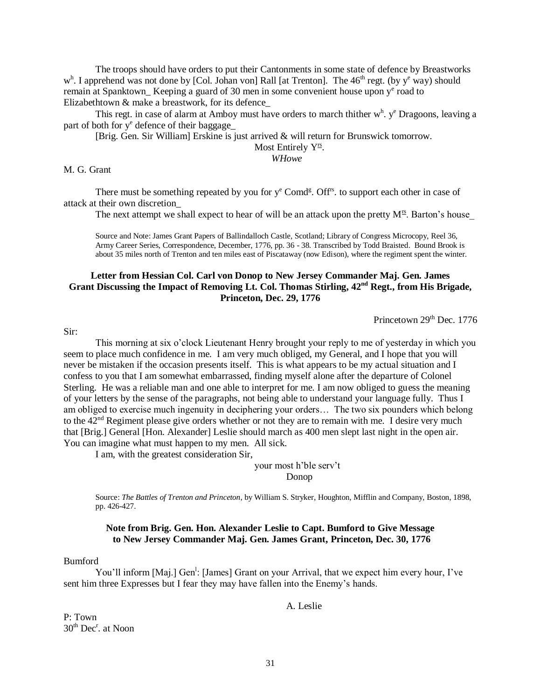The troops should have orders to put their Cantonments in some state of defence by Breastworks w<sup>h</sup>. I apprehend was not done by [Col. Johan von] Rall [at Trenton]. The 46<sup>th</sup> regt. (by y<sup>e</sup> way) should remain at Spanktown\_Keeping a guard of 30 men in some convenient house upon y<sup>e</sup> road to Elizabethtown & make a breastwork, for its defence\_

This regt. in case of alarm at Amboy must have orders to march thither  $w<sup>h</sup>$ .  $y<sup>e</sup>$  Dragoons, leaving a part of both for y<sup>e</sup> defence of their baggage\_

[Brig. Gen. Sir William] Erskine is just arrived & will return for Brunswick tomorrow.

Most Entirely  $Y^{\underline{rs}}$ .

*WHowe*

#### M. G. Grant

There must be something repeated by you for  $y^e$  Comd<sup>g</sup>. Off<sup>rs</sup> to support each other in case of attack at their own discretion\_

The next attempt we shall expect to hear of will be an attack upon the pretty  $M^s$ . Barton's house

Source and Note: James Grant Papers of Ballindalloch Castle, Scotland; Library of Congress Microcopy, Reel 36, Army Career Series, Correspondence, December, 1776, pp. 36 - 38. Transcribed by Todd Braisted. Bound Brook is about 35 miles north of Trenton and ten miles east of Piscataway (now Edison), where the regiment spent the winter.

# **Letter from Hessian Col. Carl von Donop to New Jersey Commander Maj. Gen. James Grant Discussing the Impact of Removing Lt. Col. Thomas Stirling, 42nd Regt., from His Brigade, Princeton, Dec. 29, 1776**

Princetown  $29<sup>th</sup>$  Dec. 1776

Sir:

This morning at six o'clock Lieutenant Henry brought your reply to me of yesterday in which you seem to place much confidence in me. I am very much obliged, my General, and I hope that you will never be mistaken if the occasion presents itself. This is what appears to be my actual situation and I confess to you that I am somewhat embarrassed, finding myself alone after the departure of Colonel Sterling. He was a reliable man and one able to interpret for me. I am now obliged to guess the meaning of your letters by the sense of the paragraphs, not being able to understand your language fully. Thus I am obliged to exercise much ingenuity in deciphering your orders… The two six pounders which belong to the  $42<sup>nd</sup>$  Regiment please give orders whether or not they are to remain with me. I desire very much that [Brig.] General [Hon. Alexander] Leslie should march as 400 men slept last night in the open air. You can imagine what must happen to my men. All sick.

I am, with the greatest consideration Sir,

your most h'ble serv't Donop

Source: *The Battles of Trenton and Princeton*, by William S. Stryker, Houghton, Mifflin and Company, Boston, 1898, pp. 426-427.

#### **Note from Brig. Gen. Hon. Alexander Leslie to Capt. Bumford to Give Message to New Jersey Commander Maj. Gen. James Grant, Princeton, Dec. 30, 1776**

#### Bumford

You'll inform [Maj.] Gen<sup>1</sup>: [James] Grant on your Arrival, that we expect him every hour, I've sent him three Expresses but I fear they may have fallen into the Enemy's hands.

A. Leslie

P: Town 30<sup>th</sup> Dec<sup>r</sup>. at Noon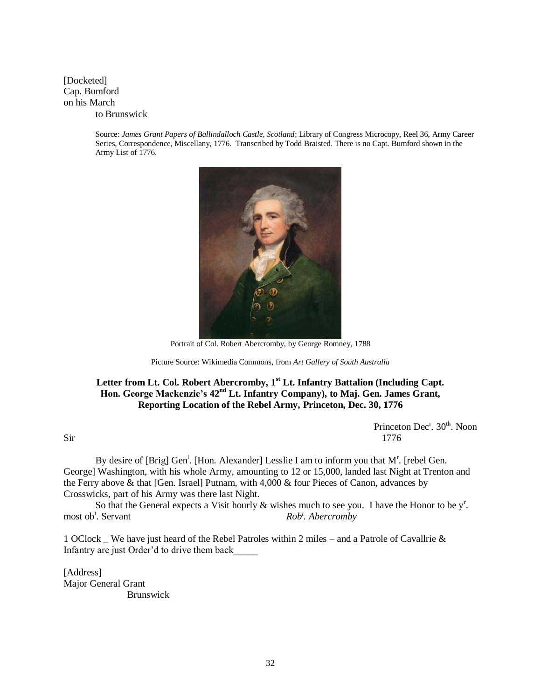[Docketed] Cap. Bumford on his March to Brunswick

> Source: *James Grant Papers of Ballindalloch Castle, Scotland*; Library of Congress Microcopy, Reel 36, Army Career Series, Correspondence, Miscellany, 1776. Transcribed by Todd Braisted. There is no Capt. Bumford shown in the Army List of 1776.



Portrait of Col. Robert Abercromby, by George Romney, 1788

Picture Source: Wikimedia Commons, from *Art Gallery of South Australia*

# **Letter from Lt. Col. Robert Abercromby, 1st Lt. Infantry Battalion (Including Capt. Hon. George Mackenzie's 42nd Lt. Infantry Company), to Maj. Gen. James Grant, Reporting Location of the Rebel Army, Princeton, Dec. 30, 1776**

Princeton Dec<sup>r</sup>. 30<sup>th</sup>. Noon  $\text{Sir}$  1776

By desire of [Brig] Gen<sup>1</sup>. [Hon. Alexander] Lesslie I am to inform you that M<sup>r</sup>. [rebel Gen. George] Washington, with his whole Army, amounting to 12 or 15,000, landed last Night at Trenton and the Ferry above & that [Gen. Israel] Putnam, with 4,000 & four Pieces of Canon, advances by Crosswicks, part of his Army was there last Night.

So that the General expects a Visit hourly  $\&$  wishes much to see you. I have the Honor to be  $y^r$ . most ob<sup>t</sup>. Servant *Rob<sup>t</sup> . Abercromby*

1 OClock We have just heard of the Rebel Patroles within 2 miles – and a Patrole of Cavallrie  $\&$ Infantry are just Order'd to drive them back\_\_\_\_\_

[Address] Major General Grant Brunswick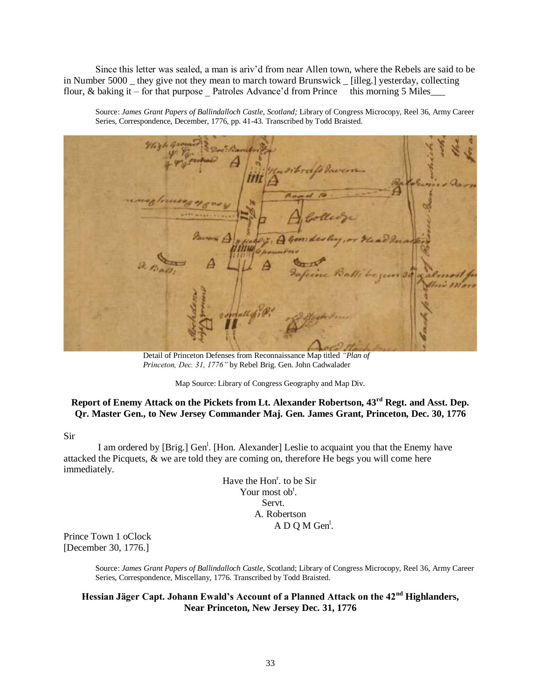Since this letter was sealed, a man is ariv'd from near Allen town, where the Rebels are said to be in Number 5000 \_ they give not they mean to march toward Brunswick \_ [illeg.] yesterday, collecting flour, & baking it – for that purpose Patroles Advance'd from Prince this morning 5 Miles\_\_\_\_

Source: *James Grant Papers of Ballindalloch Castle*, *Scotland;* Library of Congress Microcopy, Reel 36, Army Career Series, Correspondence, December, 1776, pp. 41-43. Transcribed by Todd Braisted.

Detail of Princeton Defenses from Reconnaissance Map titled *"Plan of Princeton, Dec. 31, 1776"* by Rebel Brig. Gen. John Cadwalader

Map Source: Library of Congress Geography and Map Div.

# **Report of Enemy Attack on the Pickets from Lt. Alexander Robertson, 43rd Regt. and Asst. Dep. Qr. Master Gen., to New Jersey Commander Maj. Gen. James Grant, Princeton, Dec. 30, 1776**

Sir

I am ordered by [Brig.] Gen<sup>1</sup>. [Hon. Alexander] Leslie to acquaint you that the Enemy have attacked the Picquets, & we are told they are coming on, therefore He begs you will come here immediately.

> Have the Hon<sup>r</sup>. to be Sir Your most ob<sup>t</sup>. Servt. A. Robertson A D Q M Gen<sup>1</sup>.

Prince Town 1 oClock [December 30, 1776.]

> Source: *James Grant Papers of Ballindalloch Castle*, Scotland; Library of Congress Microcopy, Reel 36, Army Career Series, Correspondence, Miscellany, 1776. Transcribed by Todd Braisted.

# **Hessian Jäger Capt. Johann Ewald's Account of a Planned Attack on the 42nd Highlanders, Near Princeton, New Jersey Dec. 31, 1776**